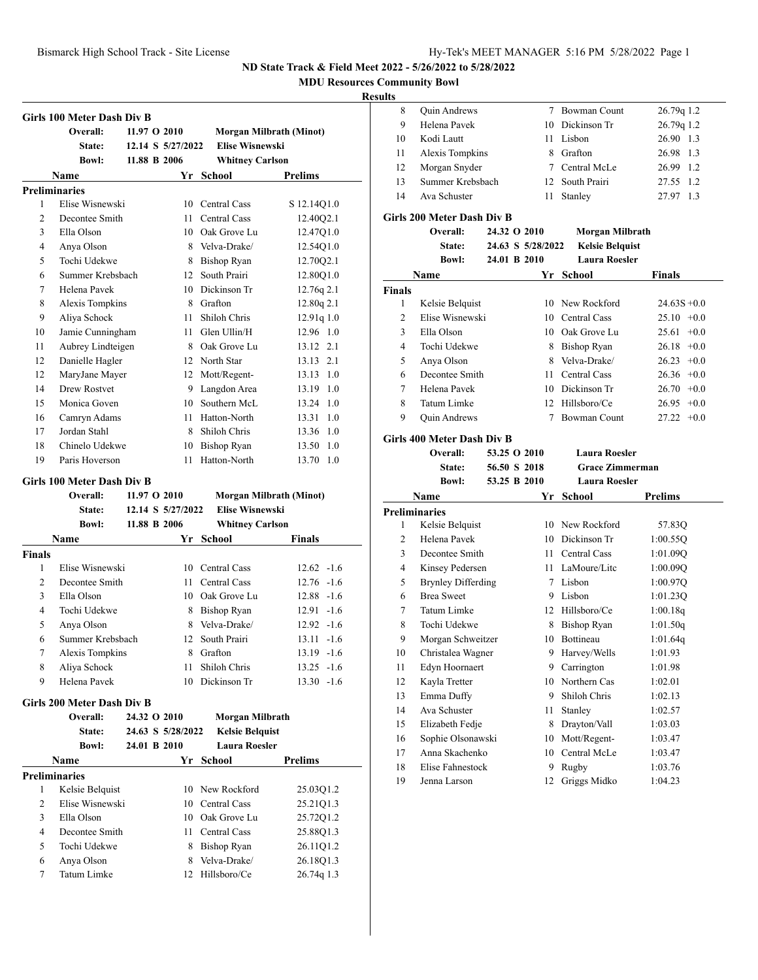**MDU Resources Community Bowl**

### **Results**

|               | Girls 100 Meter Dash Div B        |              |                   |                        |                         |
|---------------|-----------------------------------|--------------|-------------------|------------------------|-------------------------|
|               | Overall:                          | 11.97 O 2010 |                   |                        | Morgan Milbrath (Minot) |
|               | <b>State:</b>                     |              | 12.14 S 5/27/2022 | <b>Elise Wisnewski</b> |                         |
|               | <b>Bowl:</b>                      | 11.88 B 2006 |                   | <b>Whitney Carlson</b> |                         |
|               | Name                              |              |                   | Yr School              | Prelims                 |
|               | <b>Preliminaries</b>              |              |                   |                        |                         |
| 1             | Elise Wisnewski                   |              |                   | 10 Central Cass        | S 12.14Q1.0             |
| 2             | Decontee Smith                    |              | 11                | <b>Central Cass</b>    | 12.40Q2.1               |
| 3             | Ella Olson                        |              |                   | 10 Oak Grove Lu        | 12.47Q1.0               |
| 4             | Anya Olson                        |              | 8                 | Velva-Drake/           | 12.54Q1.0               |
| 5             | Tochi Udekwe                      |              |                   | 8 Bishop Ryan          | 12.70Q2.1               |
| 6             | Summer Krebsbach                  |              | 12                | South Prairi           | 12.80Q1.0               |
| 7             | Helena Pavek                      |              |                   | 10 Dickinson Tr        | 12.76q 2.1              |
| 8             | Alexis Tompkins                   |              |                   | 8 Grafton              | 12.80q 2.1              |
| 9             | Aliya Schock                      |              | 11                | Shiloh Chris           | 12.91q 1.0              |
| 10            | Jamie Cunningham                  |              |                   | 11 Glen Ullin/H        | 12.96 1.0               |
| 11            | Aubrey Lindteigen                 |              |                   | 8 Oak Grove Lu         | 13.12 2.1               |
| 12            | Danielle Hagler                   |              |                   | 12 North Star          | 13.13 2.1               |
| 12            | MaryJane Mayer                    |              |                   | 12 Mott/Regent-        | 13.13 1.0               |
| 14            | Drew Rostvet                      |              | 9                 | Langdon Area           | 13.19 1.0               |
| 15            | Monica Goven                      |              | 10                | Southern McL           | 13.24 1.0               |
| 16            | Camryn Adams                      |              | 11.               | Hatton-North           | $13.31 \quad 1.0$       |
| 17            | Jordan Stahl                      |              | 8                 | Shiloh Chris           | 13.36 1.0               |
| 18            | Chinelo Udekwe                    |              | 10                | <b>Bishop Ryan</b>     | 13.50 1.0               |
| 19            | Paris Hoverson                    |              | 11                | Hatton-North           | 13.70 1.0               |
|               | <b>Girls 100 Meter Dash Div B</b> |              |                   |                        |                         |
|               | Overall:                          | 11.97 O 2010 |                   |                        | Morgan Milbrath (Minot) |
|               | State:                            |              | 12.14 S 5/27/2022 | <b>Elise Wisnewski</b> |                         |
|               | <b>Bowl:</b>                      | 11.88 B 2006 |                   | <b>Whitney Carlson</b> |                         |
|               | <b>Name</b>                       |              |                   | Yr School              | <b>Finals</b>           |
| <b>Finals</b> |                                   |              |                   |                        |                         |
| 1             | Elise Wisnewski                   |              | 10                | Central Cass           | $12.62 -1.6$            |
| 2             | Decontee Smith                    |              | 11                | <b>Central Cass</b>    | $12.76 - 1.6$           |
| 3             | Ella Olson                        |              | 10                | Oak Grove Lu           | $12.88 - 1.6$           |
| 4             | Tochi Udekwe                      |              | 8                 | <b>Bishop Ryan</b>     | $12.91 -1.6$            |
| 5             | Anya Olson                        |              | 8                 | Velva-Drake/           | $12.92 -1.6$            |
| 6             | Summer Krebsbach                  |              | 12                | South Prairi           | $13.11 - 1.6$           |
| 7             | Alexis Tompkins                   |              | 8                 | Grafton                | 13.19 -1.6              |
| 8             | Aliya Schock                      |              | 11                | Shiloh Chris           | $13.25 - 1.6$           |
| 9             | Helena Pavek                      |              | 10                | Dickinson Tr           | 13.30 -1.6              |
|               | Girls 200 Meter Dash Div B        |              |                   |                        |                         |
|               | Overall:                          | 24.32 O 2010 |                   | <b>Morgan Milbrath</b> |                         |
|               | <b>State:</b>                     |              | 24.63 S 5/28/2022 | <b>Kelsie Belquist</b> |                         |
|               | <b>Bowl:</b>                      | 24.01 B 2010 |                   | <b>Laura Roesler</b>   |                         |
|               | Name                              |              |                   | Yr School              | <b>Prelims</b>          |
|               | <b>Preliminaries</b>              |              |                   |                        |                         |
| 1             | Kelsie Belquist                   |              |                   | 10 New Rockford        | 25.03Q1.2               |
| 2             | Elise Wisnewski                   |              | 10                | Central Cass           | 25.21Q1.3               |
| 3             | Ella Olson                        |              | 10                | Oak Grove Lu           | 25.72Q1.2               |
| 4             | Decontee Smith                    |              | 11 -              | Central Cass           | 25.88Q1.3               |
| 5             | Tochi Udekwe                      |              | 8                 | <b>Bishop Ryan</b>     | 26.11Q1.2               |
| 6             | Anya Olson                        |              | 8                 | Velva-Drake/           | 26.18Q1.3               |
| 7             | Tatum Limke                       |              |                   | Hillsboro/Ce           | 26.74q 1.3              |

| ıэ |                     |    |                 |              |
|----|---------------------|----|-----------------|--------------|
| 8  | <b>Quin Andrews</b> |    | 7 Bowman Count  | 26.79q 1.2   |
| 9  | Helena Pavek        | 10 | Dickinson Tr    | 26.79q 1.2   |
| 10 | Kodi Lautt          |    | 11 Lisbon       | 26.90 1.3    |
| 11 | Alexis Tompkins     | 8  | Grafton         | 26.98 1.3    |
| 12 | Morgan Snyder       |    | 7 Central McLe  | 26.99<br>1.2 |
| 13 | Summer Krebsbach    |    | 12 South Prairi | 27.55 1.2    |
| 14 | Ava Schuster        | 11 | Stanley         | 1.3<br>27.97 |
|    |                     |    |                 |              |

### **Girls 200 Meter Dash Div B**

|                | Overall:                          | 24.32 O 2010 |                   | Morgan Milbrath        |                 |
|----------------|-----------------------------------|--------------|-------------------|------------------------|-----------------|
|                | State:                            |              | 24.63 S 5/28/2022 | <b>Kelsie Belquist</b> |                 |
|                | <b>Bowl:</b>                      | 24.01 B 2010 |                   | <b>Laura Roesler</b>   |                 |
|                | Name                              |              |                   | Yr School              | <b>Finals</b>   |
| <b>Finals</b>  |                                   |              |                   |                        |                 |
| 1              | Kelsie Belquist                   |              |                   | 10 New Rockford        | $24.63S + 0.0$  |
| 2              | Elise Wisnewski                   |              |                   | 10 Central Cass        | $25.10 +0.0$    |
| 3              | Ella Olson                        |              |                   | 10 Oak Grove Lu        | 25.61<br>$+0.0$ |
| $\overline{4}$ | Tochi Udekwe                      |              |                   | 8 Bishop Ryan          | 26.18<br>$+0.0$ |
| 5              | Anya Olson                        |              |                   | 8 Velva-Drake/         | 26.23<br>$+0.0$ |
| 6              | Decontee Smith                    |              |                   | 11 Central Cass        | 26.36<br>$+0.0$ |
| 7              | Helena Pavek                      |              |                   | 10 Dickinson Tr        | 26.70<br>$+0.0$ |
| 8              | Tatum Limke                       |              |                   | 12 Hillsboro/Ce        | 26.95<br>$+0.0$ |
| 9              | <b>Quin Andrews</b>               |              | 7                 | <b>Bowman Count</b>    | 27.22<br>$+0.0$ |
|                | <b>Girls 400 Meter Dash Div B</b> |              |                   |                        |                 |
|                | Overall:                          | 53.25 O 2010 |                   | <b>Laura Roesler</b>   |                 |
|                | State:                            | 56.50 S 2018 |                   | <b>Grace Zimmerman</b> |                 |
|                | <b>Bowl:</b>                      | 53.25 B 2010 |                   | <b>Laura Roesler</b>   |                 |
|                | Name                              |              |                   | Yr School              | <b>Prelims</b>  |
|                | <b>Preliminaries</b>              |              |                   |                        |                 |
| 1              | Kelsie Belquist                   |              |                   | 10 New Rockford        | 57.83Q          |
| $\overline{c}$ | Helena Pavek                      |              |                   | 10 Dickinson Tr        | 1:00.550        |
| 3              | Decontee Smith                    |              |                   | 11 Central Cass        | 1:01.09Q        |
| 4              | Kinsey Pedersen                   |              |                   | 11 LaMoure/Litc        | 1:00.09Q        |
| 5              | <b>Brynley Differding</b>         |              |                   | 7 Lisbon               | 1:00.97Q        |
| 6              | <b>Brea Sweet</b>                 |              |                   | 9 Lisbon               | 1:01.23Q        |
| 7              | Tatum Limke                       |              |                   | 12 Hillsboro/Ce        | 1:00.18q        |
| 8              | Tochi Udekwe                      |              | 8                 | <b>Bishop Ryan</b>     | 1:01.50q        |
| 9              | Morgan Schweitzer                 |              |                   | 10 Bottineau           | 1:01.64q        |
| 10             | Christalea Wagner                 |              | 9.                | Harvey/Wells           | 1:01.93         |
| 11             | Edyn Hoornaert                    |              |                   | 9 Carrington           | 1:01.98         |
| 12             | Kayla Tretter                     |              |                   | 10 Northern Cas        | 1:02.01         |
| 13             | Emma Duffy                        |              |                   | 9 Shiloh Chris         | 1:02.13         |
| 14             | Ava Schuster                      |              | 11                | Stanley                | 1:02.57         |
| 15             | Elizabeth Fedje                   |              | 8                 | Drayton/Vall           | 1:03.03         |
| 16             | Sophie Olsonawski                 |              | 10                | Mott/Regent-           | 1:03.47         |
| 17             | Anna Skachenko                    |              | 10                | Central McLe           | 1:03.47         |
| 18             | <b>Elise Fahnestock</b>           |              | 9                 | Rugby                  | 1:03.76         |
| 19             | Jenna Larson                      |              | 12                | Griggs Midko           | 1:04.23         |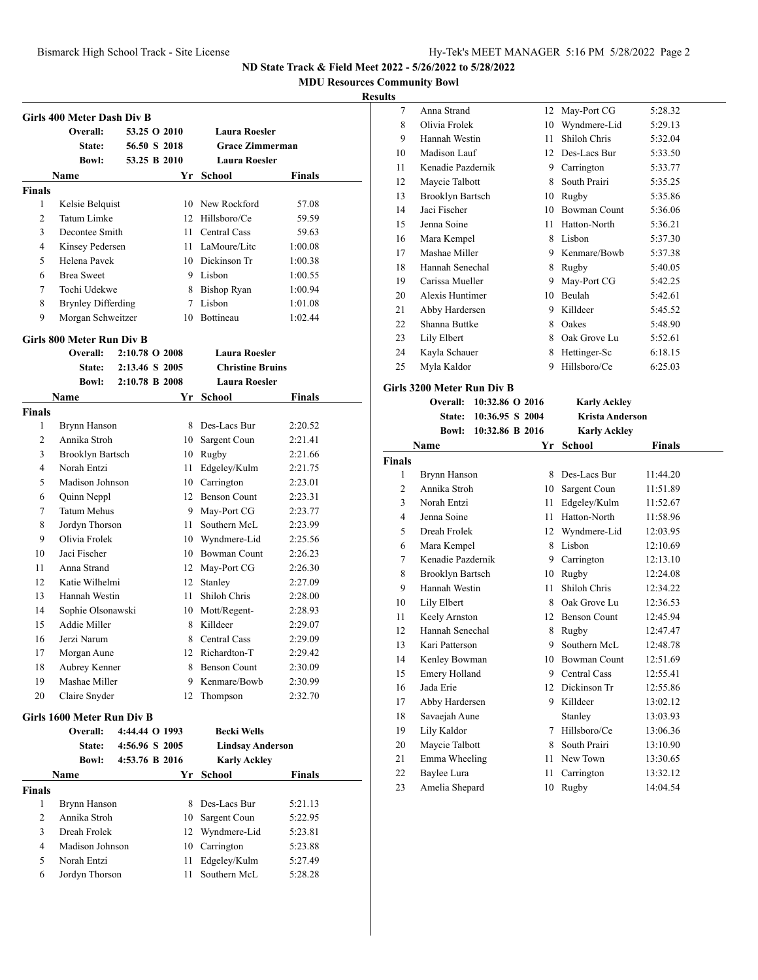**MDU Resources Community Bowl**

#### **Results**

|                | Girls 400 Meter Dash Div B       |                |      |                         |               |
|----------------|----------------------------------|----------------|------|-------------------------|---------------|
|                | Overall:                         | 53.25 O 2010   |      | <b>Laura Roesler</b>    |               |
|                | <b>State:</b>                    | 56.50 S 2018   |      | <b>Grace Zimmerman</b>  |               |
|                | <b>Bowl:</b>                     | 53.25 B 2010   |      | <b>Laura Roesler</b>    |               |
|                | Name                             |                |      | Yr School               | <b>Finals</b> |
| <b>Finals</b>  |                                  |                |      |                         |               |
| 1              | Kelsie Belquist                  |                |      | 10 New Rockford         | 57.08         |
| 2              | Tatum Limke                      |                |      | 12 Hillsboro/Ce         | 59.59         |
| 3              | Decontee Smith                   |                |      | 11 Central Cass         | 59.63         |
| 4              | Kinsey Pedersen                  |                |      | 11 LaMoure/Litc         | 1:00.08       |
| 5              | Helena Pavek                     |                |      | 10 Dickinson Tr         | 1:00.38       |
| 6              | <b>Brea Sweet</b>                |                |      | 9 Lisbon                | 1:00.55       |
| 7              | Tochi Udekwe                     |                |      | 8 Bishop Ryan           | 1:00.94       |
| 8              | <b>Brynley Differding</b>        |                |      | 7 Lisbon                | 1:01.08       |
| 9              | Morgan Schweitzer                |                |      | 10 Bottineau            | 1:02.44       |
|                | <b>Girls 800 Meter Run Div B</b> |                |      |                         |               |
|                | Overall:                         | 2:10.78 O 2008 |      | <b>Laura Roesler</b>    |               |
|                | State:                           | 2:13.46 S 2005 |      | <b>Christine Bruins</b> |               |
|                | <b>Bowl:</b>                     | 2:10.78 B 2008 |      | <b>Laura Roesler</b>    |               |
|                | Name                             |                | Yr   | School                  | Finals        |
| <b>Finals</b>  |                                  |                |      |                         |               |
| 1              | Brynn Hanson                     |                |      | 8 Des-Lacs Bur          | 2:20.52       |
| $\overline{c}$ | Annika Stroh                     |                |      | 10 Sargent Coun         | 2:21.41       |
| 3              | <b>Brooklyn Bartsch</b>          |                |      | 10 Rugby                | 2:21.66       |
| 4              | Norah Entzi                      |                |      | 11 Edgeley/Kulm         | 2:21.75       |
| 5              | Madison Johnson                  |                |      | 10 Carrington           | 2:23.01       |
| 6              | Quinn Neppl                      |                |      | 12 Benson Count         | 2:23.31       |
| 7              | <b>Tatum Mehus</b>               |                |      | 9 May-Port CG           | 2:23.77       |
| 8              | Jordyn Thorson                   |                | 11 - | Southern McL            | 2:23.99       |
| 9              | Olivia Frolek                    |                |      | 10 Wyndmere-Lid         | 2:25.56       |
| 10             | Jaci Fischer                     |                |      | 10 Bowman Count         | 2:26.23       |
| 11             | Anna Strand                      |                |      | 12 May-Port CG          | 2:26.30       |
| 12             | Katie Wilhelmi                   |                |      | 12 Stanley              | 2:27.09       |
| 13             | Hannah Westin                    |                | 11 - | Shiloh Chris            | 2:28.00       |
| 14             | Sophie Olsonawski                |                |      | 10 Mott/Regent-         | 2:28.93       |
| 15             | Addie Miller                     |                | 8    | Killdeer                | 2:29.07       |
| 16             | Jerzi Narum                      |                |      | 8 Central Cass          | 2:29.09       |
| 17             | Morgan Aune                      |                |      | 12 Richardton-T         | 2:29.42       |
| 18             | Aubrey Kenner                    |                |      | 8 Benson Count          | 2:30.09       |
| 19             | Mashae Miller                    |                | 9    | Kenmare/Bowb            | 2:30.99       |
| 20             | Claire Snyder                    |                | 12   | Thompson                | 2:32.70       |
|                | Girls 1600 Meter Run Div B       |                |      |                         |               |
|                | Overall:                         | 4:44.44 O 1993 |      | <b>Becki Wells</b>      |               |
|                | State:                           | 4:56.96 S 2005 |      | <b>Lindsay Anderson</b> |               |
|                | <b>Bowl:</b>                     | 4:53.76 B 2016 |      | <b>Karly Ackley</b>     |               |
|                | Name                             |                |      | Yr School               | <b>Finals</b> |
| <b>Finals</b>  |                                  |                |      |                         |               |
| 1              | Brynn Hanson                     |                | 8    | Des-Lacs Bur            | 5:21.13       |
| 2              | Annika Stroh                     |                | 10   | Sargent Coun            | 5:22.95       |
| 3              | Dreah Frolek                     |                |      | 12 Wyndmere-Lid         | 5:23.81       |
| 4              | Madison Johnson                  |                |      | 10 Carrington           | 5:23.88       |
| 5              | Norah Entzi                      |                |      | 11 Edgeley/Kulm         | 5:27.49       |

Jordyn Thorson 11 Southern McL 5:28.28

| 7  | Anna Strand       | 12 | May-Port CG         | 5:28.32 |
|----|-------------------|----|---------------------|---------|
| 8  | Olivia Frolek     | 10 | Wyndmere-Lid        | 5:29.13 |
| 9  | Hannah Westin     | 11 | Shiloh Chris        | 5:32.04 |
| 10 | Madison Lauf      | 12 | Des-Lacs Bur        | 5:33.50 |
| 11 | Kenadie Pazdernik | 9  | Carrington          | 5:33.77 |
| 12 | Maycie Talbott    | 8  | South Prairi        | 5:35.25 |
| 13 | Brooklyn Bartsch  | 10 | Rugby               | 5:35.86 |
| 14 | Jaci Fischer      | 10 | <b>Bowman Count</b> | 5:36.06 |
| 15 | Jenna Soine       | 11 | Hatton-North        | 5:36.21 |
| 16 | Mara Kempel       | 8  | Lisbon              | 5:37.30 |
| 17 | Mashae Miller     | 9  | Kenmare/Bowb        | 5:37.38 |
| 18 | Hannah Senechal   | 8  | Rugby               | 5:40.05 |
| 19 | Carissa Mueller   | 9  | May-Port CG         | 5:42.25 |
| 20 | Alexis Huntimer   | 10 | Beulah              | 5:42.61 |
| 21 | Abby Hardersen    | 9  | Killdeer            | 5:45.52 |
| 22 | Shanna Buttke     | 8  | Oakes               | 5:48.90 |
| 23 | Lily Elbert       | 8  | Oak Grove Lu        | 5:52.61 |
| 24 | Kayla Schauer     | 8  | Hettinger-Sc        | 6:18.15 |
| 25 | Myla Kaldor       | 9  | Hillsboro/Ce        | 6:25.03 |
|    |                   |    |                     |         |

**Girls 3200 Meter Run Div B Overall: 10:32.86 O 2016 Karly Ackley State: 10:36.95 S 2004 Krista Anderson Bowl: 10:32.86 B 2016 Karly Ackley Name Yr School Finals Finals** 1 Brynn Hanson 8 Des-Lacs Bur 11:44.20 Annika Stroh 10 Sargent Coun 11:51.89 Norah Entzi 11 Edgeley/Kulm 11:52.67 Jenna Soine 11 Hatton-North 11:58.96 Dreah Frolek 12 Wyndmere-Lid 12:03.95 Mara Kempel 8 Lisbon 12:10.69 Kenadie Pazdernik 9 Carrington 12:13.10 Brooklyn Bartsch 10 Rugby 12:24.08 Hannah Westin 11 Shiloh Chris 12:34.22 10 Lily Elbert 8 Oak Grove Lu 12:36.53 Keely Arnston 12 Benson Count 12:45.94 12 Hannah Senechal 8 Rugby 12:47.47 Kari Patterson 9 Southern McL 12:48.78 Kenley Bowman 10 Bowman Count 12:51.69 15 Emery Holland 9 Central Cass 12:55.41 Jada Erie 12 Dickinson Tr 12:55.86 Abby Hardersen 9 Killdeer 13:02.12 Savaejah Aune Stanley 13:03.93 Lily Kaldor 7 Hillsboro/Ce 13:06.36

### 20 Maycie Talbott 8 South Prairi 13:10.90 21 Emma Wheeling 11 New Town 13:30.65 22 Baylee Lura 11 Carrington 13:32.12 Amelia Shepard 10 Rugby 14:04.54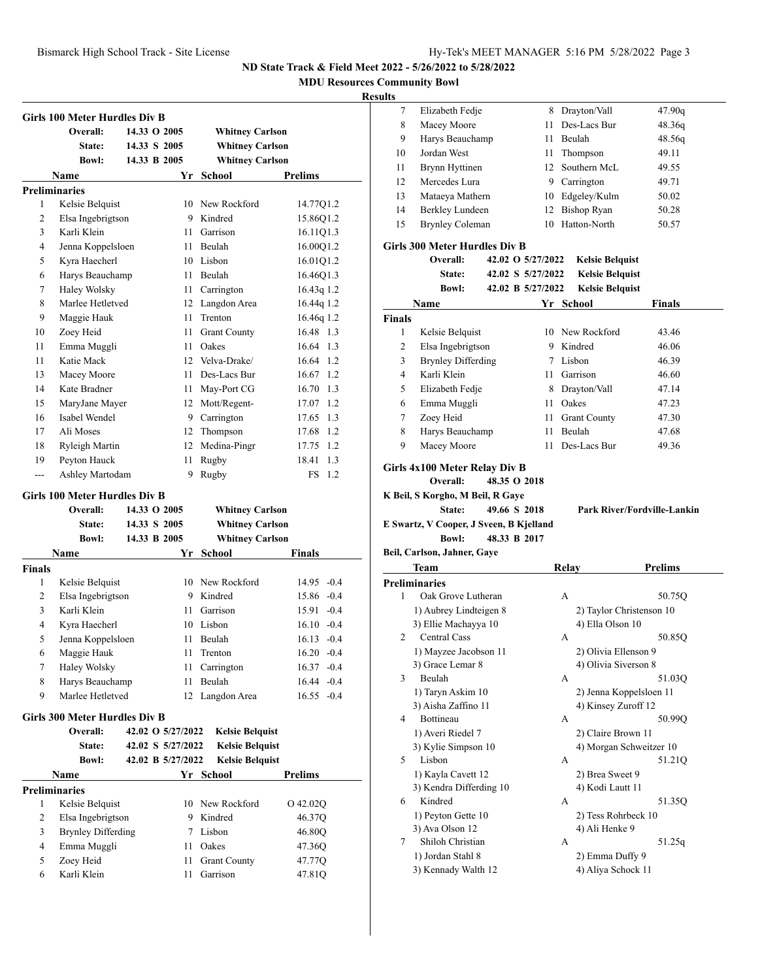**MDU Resources Community Bowl**

### **Results**

|               | <b>Girls 100 Meter Hurdles Div B</b> |              |                   |                         |                  |
|---------------|--------------------------------------|--------------|-------------------|-------------------------|------------------|
|               | Overall:                             | 14.33 O 2005 |                   | <b>Whitney Carlson</b>  |                  |
|               | State:                               | 14.33 S 2005 |                   | <b>Whitney Carlson</b>  |                  |
|               | <b>Bowl:</b>                         | 14.33 B 2005 |                   | <b>Whitney Carlson</b>  |                  |
|               | Name                                 |              |                   | Yr School               | Prelims          |
|               | <b>Preliminaries</b>                 |              |                   |                         |                  |
| 1             | Kelsie Belquist                      |              |                   | 10 New Rockford         | 14.77Q1.2        |
| 2             | Elsa Ingebrigtson                    |              |                   | 9 Kindred               | 15.86Q1.2        |
| 3             | Karli Klein                          |              |                   | 11 Garrison             | 16.11Q1.3        |
| 4             | Jenna Koppelsloen                    |              |                   | 11 Beulah               | 16.00Q1.2        |
| 5             | Kyra Haecherl                        |              |                   | 10 Lisbon               | 16.01Q1.2        |
| 6             | Harys Beauchamp                      |              |                   | 11 Beulah               | 16.46Q1.3        |
| 7             | Haley Wolsky                         |              |                   | 11 Carrington           | 16.43q 1.2       |
| 8             | Marlee Hetletved                     |              |                   | 12 Langdon Area         | 16.44q 1.2       |
| 9             | Maggie Hauk                          |              | 11                | Trenton                 | 16.46q 1.2       |
| 10            | Zoey Heid                            |              | 11 -              | <b>Grant County</b>     | 16.48 1.3        |
| 11            | Emma Muggli                          |              | 11 -              | Oakes                   | 16.64<br>1.3     |
| 11            | Katie Mack                           |              |                   | 12 Velva-Drake/         | 16.64 1.2        |
| 13            | Macey Moore                          |              |                   | 11 Des-Lacs Bur         | 16.67 1.2        |
| 14            | Kate Bradner                         |              |                   | 11 May-Port CG          | 16.70 1.3        |
| 15            | MaryJane Mayer                       |              |                   | 12 Mott/Regent-         | 17.07 1.2        |
| 16            | Isabel Wendel                        |              |                   | 9 Carrington            | 17.65 1.3        |
| 17            | Ali Moses                            |              |                   | 12 Thompson             | 17.68 1.2        |
| 18            | Ryleigh Martin                       |              |                   | 12 Medina-Pingr         | 17.75 1.2        |
| 19            | Peyton Hauck                         |              | 11                | Rugby                   | 18.41 1.3        |
| $---$         | Ashley Martodam                      |              | 9                 | Rugby                   | 1.2<br>FS        |
|               | Girls 100 Meter Hurdles Div B        |              |                   |                         |                  |
|               | Overall:                             | 14.33 O 2005 |                   | <b>Whitney Carlson</b>  |                  |
|               | State:                               | 14.33 S 2005 |                   | <b>Whitney Carlson</b>  |                  |
|               | <b>Bowl:</b>                         | 14.33 B 2005 |                   | <b>Whitney Carlson</b>  |                  |
|               | Name                                 |              | Yr                | <b>School</b>           | Finals           |
| <b>Finals</b> |                                      |              |                   |                         |                  |
| 1             | Kelsie Belquist                      |              |                   | 10 New Rockford         | $14.95 -0.4$     |
| 2             | Elsa Ingebrigtson                    |              |                   | 9 Kindred               | 15.86 -0.4       |
| 3             | Karli Klein                          |              |                   |                         |                  |
| 4             |                                      |              |                   | 11 Garrison             | $15.91 - 0.4$    |
|               | Kyra Haecherl                        |              |                   | 10 Lisbon               | $16.10 -0.4$     |
| 5             | Jenna Koppelsloen                    |              | 11                | Beulah                  | $16.13 - 0.4$    |
| 6             |                                      |              |                   | 11 Trenton              | $16.20 -0.4$     |
| 7             | Maggie Hauk                          |              |                   |                         | $16.37 -0.4$     |
| 8             | <b>Haley Wolsky</b>                  |              | 11                | 11 Carrington<br>Beulah | $16.44 - 0.4$    |
| 9             | Harys Beauchamp<br>Marlee Hetletved  |              | 12                | Langdon Area            | $16.55 - 0.4$    |
|               | <b>Girls 300 Meter Hurdles Div B</b> |              |                   |                         |                  |
|               | Overall:                             |              | 42.02 O 5/27/2022 | <b>Kelsie Belquist</b>  |                  |
|               | State:                               |              | 42.02 S 5/27/2022 | <b>Kelsie Belquist</b>  |                  |
|               | <b>Bowl:</b>                         |              | 42.02 B 5/27/2022 | <b>Kelsie Belquist</b>  |                  |
|               | Name                                 |              |                   | Yr School               | Prelims          |
|               | <b>Preliminaries</b>                 |              |                   |                         |                  |
| 1             |                                      |              | 10                | New Rockford            | O 42.02Q         |
| 2             | Kelsie Belquist                      |              | 9                 | Kindred                 |                  |
| 3             | Elsa Ingebrigtson                    |              | 7                 | Lisbon                  | 46.37Q<br>46.80Q |
| 4             | <b>Brynley Differding</b>            |              | 11                | Oakes                   |                  |
| 5             | Emma Muggli<br>Zoey Heid             |              | 11                | <b>Grant County</b>     | 47.36Q<br>47.77Q |

| 7             | Elizabeth Fedje                             |                   | 8 Drayton/Vall         | 47.90q                             |
|---------------|---------------------------------------------|-------------------|------------------------|------------------------------------|
| 8             | Macey Moore                                 | 11 -              | Des-Lacs Bur           | 48.36q                             |
| 9             | Harys Beauchamp                             |                   | 11 Beulah              | 48.56q                             |
| 10            | Jordan West                                 |                   | 11 Thompson            | 49.11                              |
| 11            | Brynn Hyttinen                              |                   | 12 Southern McL        | 49.55                              |
| 12            | Mercedes Lura                               |                   | 9 Carrington           | 49.71                              |
| 13            | Mataeya Mathern                             |                   | 10 Edgeley/Kulm        | 50.02                              |
| 14            | Berkley Lundeen                             |                   | 12 Bishop Ryan         | 50.28                              |
| 15            | <b>Brynley Coleman</b>                      | 10                | Hatton-North           | 50.57                              |
|               | <b>Girls 300 Meter Hurdles Div B</b>        |                   |                        |                                    |
|               | Overall:                                    | 42.02 O 5/27/2022 | <b>Kelsie Belquist</b> |                                    |
|               | State:                                      | 42.02 S 5/27/2022 | <b>Kelsie Belquist</b> |                                    |
|               | <b>Bowl:</b>                                | 42.02 B 5/27/2022 | <b>Kelsie Belquist</b> |                                    |
|               | Name                                        |                   | Yr School              | Finals                             |
| <b>Finals</b> |                                             |                   |                        |                                    |
| 1             | Kelsie Belquist                             |                   | 10 New Rockford        | 43.46                              |
| 2             | Elsa Ingebrigtson                           |                   | 9 Kindred              | 46.06                              |
| 3             | <b>Brynley Differding</b>                   |                   | 7 Lisbon               | 46.39                              |
| 4             | Karli Klein                                 |                   | 11 Garrison            | 46.60                              |
| 5             | Elizabeth Fedje                             |                   | 8 Drayton/Vall         | 47.14                              |
| 6             | Emma Muggli                                 |                   | 11 Oakes               | 47.23                              |
| 7             | Zoey Heid                                   |                   | 11 Grant County        | 47.30                              |
| 8             | Harys Beauchamp                             | 11 -              | Beulah                 | 47.68                              |
| 9             | Macey Moore                                 | 11                | Des-Lacs Bur           | 49.36                              |
|               |                                             |                   |                        |                                    |
|               | Girls 4x100 Meter Relay Div B               |                   |                        |                                    |
|               | Overall:                                    | 48.35 O 2018      |                        |                                    |
|               |                                             |                   |                        |                                    |
|               | K Beil, S Korgho, M Beil, R Gaye            |                   |                        |                                    |
|               | State:                                      | 49.66 S 2018      |                        | <b>Park River/Fordville-Lankin</b> |
|               | E Swartz, V Cooper, J Sveen, B Kjelland     |                   |                        |                                    |
|               | <b>Bowl:</b>                                | 48.33 B 2017      |                        |                                    |
|               | Beil, Carlson, Jahner, Gaye                 |                   |                        |                                    |
|               | Team                                        |                   | <b>Relay</b>           | <b>Prelims</b>                     |
|               | <b>Preliminaries</b>                        |                   |                        |                                    |
| 1             | Oak Grove Lutheran                          |                   | A                      | 50.75Q                             |
|               | 1) Aubrey Lindteigen 8                      |                   | 4) Ella Olson 10       | 2) Taylor Christenson 10           |
| 2             | 3) Ellie Machayya 10<br><b>Central Cass</b> |                   | A                      | 50.85Q                             |
|               | 1) Mayzee Jacobson 11                       |                   | 2) Olivia Ellenson 9   |                                    |
|               | 3) Grace Lemar 8                            |                   | 4) Olivia Siverson 8   |                                    |
| 3             | Beulah                                      |                   | А                      | 51.03Q                             |
|               | 1) Taryn Askim 10                           |                   |                        | 2) Jenna Koppelsloen 11            |
|               | 3) Aisha Zaffino 11                         |                   | 4) Kinsey Zuroff 12    |                                    |
| 4             | Bottineau                                   |                   | А                      | 50.99Q                             |
|               | 1) Averi Riedel 7                           |                   | 2) Claire Brown 11     |                                    |
|               | 3) Kylie Simpson 10                         |                   |                        | 4) Morgan Schweitzer 10            |
| 5             | Lisbon                                      |                   | А                      | 51.21Q                             |
|               | 1) Kayla Cavett 12                          |                   | 2) Brea Sweet 9        |                                    |
|               | 3) Kendra Differding 10                     |                   | 4) Kodi Lautt 11       |                                    |
| 6             | Kindred                                     |                   | А                      | 51.35Q                             |
|               | 1) Peyton Gette 10                          |                   | 2) Tess Rohrbeck 10    |                                    |
|               | 3) Ava Olson 12                             |                   | 4) Ali Henke 9         |                                    |
| 7             | Shiloh Christian<br>1) Jordan Stahl 8       |                   | А<br>2) Emma Duffy 9   | 51.25q                             |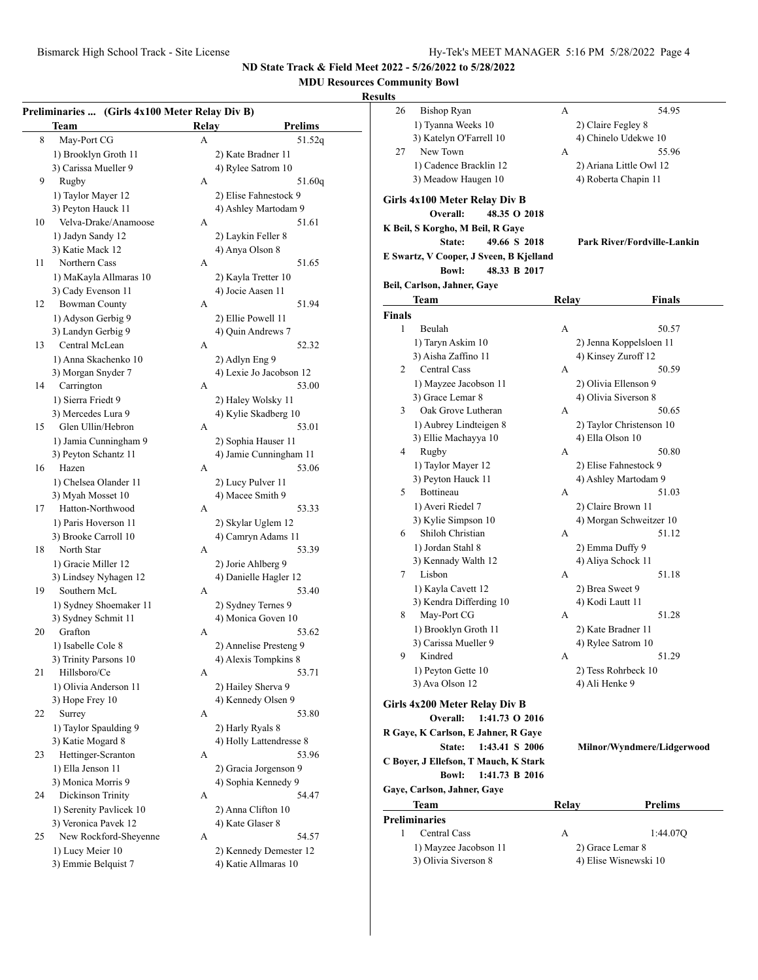## **MDU Resources Community Bowl**

### **Results**

| 8<br>May-Port CG<br>А<br>1) Brooklyn Groth 11<br>2) Kate Bradner 11<br>3) Carissa Mueller 9<br>4) Rylee Satrom 10<br>9<br>Rugby<br>А<br>51.60q<br>1) Taylor Mayer 12<br>2) Elise Fahnestock 9<br>3) Peyton Hauck 11<br>4) Ashley Martodam 9<br>Velva-Drake/Anamoose<br>10<br>51.61<br>А<br>1) Jadyn Sandy 12<br>2) Laykin Feller 8<br>3) Katie Mack 12<br>4) Anya Olson 8<br>Northern Cass<br>11<br>А<br>1) MaKayla Allmaras 10<br>2) Kayla Tretter 10<br>3) Cady Evenson 11<br>4) Jocie Aasen 11<br><b>Bowman County</b><br>12<br>А<br>1) Adyson Gerbig 9<br>2) Ellie Powell 11<br>3) Landyn Gerbig 9<br>4) Quin Andrews 7<br>Central McLean<br>13<br>A<br>1) Anna Skachenko 10<br>2) Adlyn Eng 9<br>3) Morgan Snyder 7<br>4) Lexie Jo Jacobson 12<br>Carrington<br>14<br>A<br>1) Sierra Friedt 9<br>2) Haley Wolsky 11<br>4) Kylie Skadberg 10<br>3) Mercedes Lura 9<br>Glen Ullin/Hebron<br>15<br>53.01<br>А<br>1) Jamia Cunningham 9<br>2) Sophia Hauser 11<br>4) Jamie Cunningham 11<br>3) Peyton Schantz 11<br>16<br>Hazen<br>53.06<br>А<br>1) Chelsea Olander 11<br>2) Lucy Pulver 11<br>3) Myah Mosset 10<br>4) Macee Smith 9<br>Hatton-Northwood<br>17<br>А<br>1) Paris Hoverson 11<br>2) Skylar Uglem 12<br>3) Brooke Carroll 10<br>4) Camryn Adams 11<br>18<br>North Star<br>A<br>1) Gracie Miller 12<br>2) Jorie Ahlberg 9<br>4) Danielle Hagler 12<br>3) Lindsey Nyhagen 12<br>Southern McL<br>19<br>А<br>1) Sydney Shoemaker 11<br>2) Sydney Ternes 9<br>4) Monica Goven 10<br>3) Sydney Schmit 11<br>Grafton<br>20<br>А<br>53.62<br>1) Isabelle Cole 8<br>2) Annelise Presteng 9<br>3) Trinity Parsons 10<br>4) Alexis Tompkins 8<br>53.71<br>21<br>Hillsboro/Ce<br>А<br>1) Olivia Anderson 11<br>2) Hailey Sherva 9<br>4) Kennedy Olsen 9<br>3) Hope Frey 10<br>22<br>Surrey<br>А<br>1) Taylor Spaulding 9<br>2) Harly Ryals 8<br>3) Katie Mogard 8<br>4) Holly Lattendresse 8<br>Hettinger-Scranton<br>23<br>А<br>1) Ella Jenson 11<br>2) Gracia Jorgenson 9<br>3) Monica Morris 9<br>4) Sophia Kennedy 9<br>Dickinson Trinity<br>24<br>А<br>1) Serenity Pavlicek 10<br>2) Anna Clifton 10<br>3) Veronica Pavek 12<br>4) Kate Glaser 8<br>New Rockford-Sheyenne<br>25<br>А<br>54.57<br>1) Lucy Meier 10<br>2) Kennedy Demester 12 | <b>Team</b> | Relay | <b>Prelims</b> |
|----------------------------------------------------------------------------------------------------------------------------------------------------------------------------------------------------------------------------------------------------------------------------------------------------------------------------------------------------------------------------------------------------------------------------------------------------------------------------------------------------------------------------------------------------------------------------------------------------------------------------------------------------------------------------------------------------------------------------------------------------------------------------------------------------------------------------------------------------------------------------------------------------------------------------------------------------------------------------------------------------------------------------------------------------------------------------------------------------------------------------------------------------------------------------------------------------------------------------------------------------------------------------------------------------------------------------------------------------------------------------------------------------------------------------------------------------------------------------------------------------------------------------------------------------------------------------------------------------------------------------------------------------------------------------------------------------------------------------------------------------------------------------------------------------------------------------------------------------------------------------------------------------------------------------------------------------------------------------------------------------------------------------------------------------------------------------------------------------------------------------------------------------------------------------------------------------------------------------------------------------|-------------|-------|----------------|
|                                                                                                                                                                                                                                                                                                                                                                                                                                                                                                                                                                                                                                                                                                                                                                                                                                                                                                                                                                                                                                                                                                                                                                                                                                                                                                                                                                                                                                                                                                                                                                                                                                                                                                                                                                                                                                                                                                                                                                                                                                                                                                                                                                                                                                                    |             |       | 51.52q         |
|                                                                                                                                                                                                                                                                                                                                                                                                                                                                                                                                                                                                                                                                                                                                                                                                                                                                                                                                                                                                                                                                                                                                                                                                                                                                                                                                                                                                                                                                                                                                                                                                                                                                                                                                                                                                                                                                                                                                                                                                                                                                                                                                                                                                                                                    |             |       |                |
|                                                                                                                                                                                                                                                                                                                                                                                                                                                                                                                                                                                                                                                                                                                                                                                                                                                                                                                                                                                                                                                                                                                                                                                                                                                                                                                                                                                                                                                                                                                                                                                                                                                                                                                                                                                                                                                                                                                                                                                                                                                                                                                                                                                                                                                    |             |       |                |
|                                                                                                                                                                                                                                                                                                                                                                                                                                                                                                                                                                                                                                                                                                                                                                                                                                                                                                                                                                                                                                                                                                                                                                                                                                                                                                                                                                                                                                                                                                                                                                                                                                                                                                                                                                                                                                                                                                                                                                                                                                                                                                                                                                                                                                                    |             |       |                |
|                                                                                                                                                                                                                                                                                                                                                                                                                                                                                                                                                                                                                                                                                                                                                                                                                                                                                                                                                                                                                                                                                                                                                                                                                                                                                                                                                                                                                                                                                                                                                                                                                                                                                                                                                                                                                                                                                                                                                                                                                                                                                                                                                                                                                                                    |             |       |                |
|                                                                                                                                                                                                                                                                                                                                                                                                                                                                                                                                                                                                                                                                                                                                                                                                                                                                                                                                                                                                                                                                                                                                                                                                                                                                                                                                                                                                                                                                                                                                                                                                                                                                                                                                                                                                                                                                                                                                                                                                                                                                                                                                                                                                                                                    |             |       |                |
|                                                                                                                                                                                                                                                                                                                                                                                                                                                                                                                                                                                                                                                                                                                                                                                                                                                                                                                                                                                                                                                                                                                                                                                                                                                                                                                                                                                                                                                                                                                                                                                                                                                                                                                                                                                                                                                                                                                                                                                                                                                                                                                                                                                                                                                    |             |       |                |
|                                                                                                                                                                                                                                                                                                                                                                                                                                                                                                                                                                                                                                                                                                                                                                                                                                                                                                                                                                                                                                                                                                                                                                                                                                                                                                                                                                                                                                                                                                                                                                                                                                                                                                                                                                                                                                                                                                                                                                                                                                                                                                                                                                                                                                                    |             |       |                |
|                                                                                                                                                                                                                                                                                                                                                                                                                                                                                                                                                                                                                                                                                                                                                                                                                                                                                                                                                                                                                                                                                                                                                                                                                                                                                                                                                                                                                                                                                                                                                                                                                                                                                                                                                                                                                                                                                                                                                                                                                                                                                                                                                                                                                                                    |             |       |                |
|                                                                                                                                                                                                                                                                                                                                                                                                                                                                                                                                                                                                                                                                                                                                                                                                                                                                                                                                                                                                                                                                                                                                                                                                                                                                                                                                                                                                                                                                                                                                                                                                                                                                                                                                                                                                                                                                                                                                                                                                                                                                                                                                                                                                                                                    |             |       |                |
|                                                                                                                                                                                                                                                                                                                                                                                                                                                                                                                                                                                                                                                                                                                                                                                                                                                                                                                                                                                                                                                                                                                                                                                                                                                                                                                                                                                                                                                                                                                                                                                                                                                                                                                                                                                                                                                                                                                                                                                                                                                                                                                                                                                                                                                    |             |       | 51.65          |
|                                                                                                                                                                                                                                                                                                                                                                                                                                                                                                                                                                                                                                                                                                                                                                                                                                                                                                                                                                                                                                                                                                                                                                                                                                                                                                                                                                                                                                                                                                                                                                                                                                                                                                                                                                                                                                                                                                                                                                                                                                                                                                                                                                                                                                                    |             |       |                |
|                                                                                                                                                                                                                                                                                                                                                                                                                                                                                                                                                                                                                                                                                                                                                                                                                                                                                                                                                                                                                                                                                                                                                                                                                                                                                                                                                                                                                                                                                                                                                                                                                                                                                                                                                                                                                                                                                                                                                                                                                                                                                                                                                                                                                                                    |             |       |                |
|                                                                                                                                                                                                                                                                                                                                                                                                                                                                                                                                                                                                                                                                                                                                                                                                                                                                                                                                                                                                                                                                                                                                                                                                                                                                                                                                                                                                                                                                                                                                                                                                                                                                                                                                                                                                                                                                                                                                                                                                                                                                                                                                                                                                                                                    |             |       | 51.94          |
|                                                                                                                                                                                                                                                                                                                                                                                                                                                                                                                                                                                                                                                                                                                                                                                                                                                                                                                                                                                                                                                                                                                                                                                                                                                                                                                                                                                                                                                                                                                                                                                                                                                                                                                                                                                                                                                                                                                                                                                                                                                                                                                                                                                                                                                    |             |       |                |
|                                                                                                                                                                                                                                                                                                                                                                                                                                                                                                                                                                                                                                                                                                                                                                                                                                                                                                                                                                                                                                                                                                                                                                                                                                                                                                                                                                                                                                                                                                                                                                                                                                                                                                                                                                                                                                                                                                                                                                                                                                                                                                                                                                                                                                                    |             |       |                |
|                                                                                                                                                                                                                                                                                                                                                                                                                                                                                                                                                                                                                                                                                                                                                                                                                                                                                                                                                                                                                                                                                                                                                                                                                                                                                                                                                                                                                                                                                                                                                                                                                                                                                                                                                                                                                                                                                                                                                                                                                                                                                                                                                                                                                                                    |             |       | 52.32          |
|                                                                                                                                                                                                                                                                                                                                                                                                                                                                                                                                                                                                                                                                                                                                                                                                                                                                                                                                                                                                                                                                                                                                                                                                                                                                                                                                                                                                                                                                                                                                                                                                                                                                                                                                                                                                                                                                                                                                                                                                                                                                                                                                                                                                                                                    |             |       |                |
|                                                                                                                                                                                                                                                                                                                                                                                                                                                                                                                                                                                                                                                                                                                                                                                                                                                                                                                                                                                                                                                                                                                                                                                                                                                                                                                                                                                                                                                                                                                                                                                                                                                                                                                                                                                                                                                                                                                                                                                                                                                                                                                                                                                                                                                    |             |       |                |
|                                                                                                                                                                                                                                                                                                                                                                                                                                                                                                                                                                                                                                                                                                                                                                                                                                                                                                                                                                                                                                                                                                                                                                                                                                                                                                                                                                                                                                                                                                                                                                                                                                                                                                                                                                                                                                                                                                                                                                                                                                                                                                                                                                                                                                                    |             |       | 53.00          |
|                                                                                                                                                                                                                                                                                                                                                                                                                                                                                                                                                                                                                                                                                                                                                                                                                                                                                                                                                                                                                                                                                                                                                                                                                                                                                                                                                                                                                                                                                                                                                                                                                                                                                                                                                                                                                                                                                                                                                                                                                                                                                                                                                                                                                                                    |             |       |                |
|                                                                                                                                                                                                                                                                                                                                                                                                                                                                                                                                                                                                                                                                                                                                                                                                                                                                                                                                                                                                                                                                                                                                                                                                                                                                                                                                                                                                                                                                                                                                                                                                                                                                                                                                                                                                                                                                                                                                                                                                                                                                                                                                                                                                                                                    |             |       |                |
|                                                                                                                                                                                                                                                                                                                                                                                                                                                                                                                                                                                                                                                                                                                                                                                                                                                                                                                                                                                                                                                                                                                                                                                                                                                                                                                                                                                                                                                                                                                                                                                                                                                                                                                                                                                                                                                                                                                                                                                                                                                                                                                                                                                                                                                    |             |       |                |
|                                                                                                                                                                                                                                                                                                                                                                                                                                                                                                                                                                                                                                                                                                                                                                                                                                                                                                                                                                                                                                                                                                                                                                                                                                                                                                                                                                                                                                                                                                                                                                                                                                                                                                                                                                                                                                                                                                                                                                                                                                                                                                                                                                                                                                                    |             |       |                |
|                                                                                                                                                                                                                                                                                                                                                                                                                                                                                                                                                                                                                                                                                                                                                                                                                                                                                                                                                                                                                                                                                                                                                                                                                                                                                                                                                                                                                                                                                                                                                                                                                                                                                                                                                                                                                                                                                                                                                                                                                                                                                                                                                                                                                                                    |             |       |                |
|                                                                                                                                                                                                                                                                                                                                                                                                                                                                                                                                                                                                                                                                                                                                                                                                                                                                                                                                                                                                                                                                                                                                                                                                                                                                                                                                                                                                                                                                                                                                                                                                                                                                                                                                                                                                                                                                                                                                                                                                                                                                                                                                                                                                                                                    |             |       |                |
|                                                                                                                                                                                                                                                                                                                                                                                                                                                                                                                                                                                                                                                                                                                                                                                                                                                                                                                                                                                                                                                                                                                                                                                                                                                                                                                                                                                                                                                                                                                                                                                                                                                                                                                                                                                                                                                                                                                                                                                                                                                                                                                                                                                                                                                    |             |       |                |
|                                                                                                                                                                                                                                                                                                                                                                                                                                                                                                                                                                                                                                                                                                                                                                                                                                                                                                                                                                                                                                                                                                                                                                                                                                                                                                                                                                                                                                                                                                                                                                                                                                                                                                                                                                                                                                                                                                                                                                                                                                                                                                                                                                                                                                                    |             |       |                |
|                                                                                                                                                                                                                                                                                                                                                                                                                                                                                                                                                                                                                                                                                                                                                                                                                                                                                                                                                                                                                                                                                                                                                                                                                                                                                                                                                                                                                                                                                                                                                                                                                                                                                                                                                                                                                                                                                                                                                                                                                                                                                                                                                                                                                                                    |             |       |                |
|                                                                                                                                                                                                                                                                                                                                                                                                                                                                                                                                                                                                                                                                                                                                                                                                                                                                                                                                                                                                                                                                                                                                                                                                                                                                                                                                                                                                                                                                                                                                                                                                                                                                                                                                                                                                                                                                                                                                                                                                                                                                                                                                                                                                                                                    |             |       | 53.33          |
|                                                                                                                                                                                                                                                                                                                                                                                                                                                                                                                                                                                                                                                                                                                                                                                                                                                                                                                                                                                                                                                                                                                                                                                                                                                                                                                                                                                                                                                                                                                                                                                                                                                                                                                                                                                                                                                                                                                                                                                                                                                                                                                                                                                                                                                    |             |       |                |
|                                                                                                                                                                                                                                                                                                                                                                                                                                                                                                                                                                                                                                                                                                                                                                                                                                                                                                                                                                                                                                                                                                                                                                                                                                                                                                                                                                                                                                                                                                                                                                                                                                                                                                                                                                                                                                                                                                                                                                                                                                                                                                                                                                                                                                                    |             |       |                |
|                                                                                                                                                                                                                                                                                                                                                                                                                                                                                                                                                                                                                                                                                                                                                                                                                                                                                                                                                                                                                                                                                                                                                                                                                                                                                                                                                                                                                                                                                                                                                                                                                                                                                                                                                                                                                                                                                                                                                                                                                                                                                                                                                                                                                                                    |             |       | 53.39          |
|                                                                                                                                                                                                                                                                                                                                                                                                                                                                                                                                                                                                                                                                                                                                                                                                                                                                                                                                                                                                                                                                                                                                                                                                                                                                                                                                                                                                                                                                                                                                                                                                                                                                                                                                                                                                                                                                                                                                                                                                                                                                                                                                                                                                                                                    |             |       |                |
|                                                                                                                                                                                                                                                                                                                                                                                                                                                                                                                                                                                                                                                                                                                                                                                                                                                                                                                                                                                                                                                                                                                                                                                                                                                                                                                                                                                                                                                                                                                                                                                                                                                                                                                                                                                                                                                                                                                                                                                                                                                                                                                                                                                                                                                    |             |       |                |
|                                                                                                                                                                                                                                                                                                                                                                                                                                                                                                                                                                                                                                                                                                                                                                                                                                                                                                                                                                                                                                                                                                                                                                                                                                                                                                                                                                                                                                                                                                                                                                                                                                                                                                                                                                                                                                                                                                                                                                                                                                                                                                                                                                                                                                                    |             |       | 53.40          |
|                                                                                                                                                                                                                                                                                                                                                                                                                                                                                                                                                                                                                                                                                                                                                                                                                                                                                                                                                                                                                                                                                                                                                                                                                                                                                                                                                                                                                                                                                                                                                                                                                                                                                                                                                                                                                                                                                                                                                                                                                                                                                                                                                                                                                                                    |             |       |                |
|                                                                                                                                                                                                                                                                                                                                                                                                                                                                                                                                                                                                                                                                                                                                                                                                                                                                                                                                                                                                                                                                                                                                                                                                                                                                                                                                                                                                                                                                                                                                                                                                                                                                                                                                                                                                                                                                                                                                                                                                                                                                                                                                                                                                                                                    |             |       |                |
|                                                                                                                                                                                                                                                                                                                                                                                                                                                                                                                                                                                                                                                                                                                                                                                                                                                                                                                                                                                                                                                                                                                                                                                                                                                                                                                                                                                                                                                                                                                                                                                                                                                                                                                                                                                                                                                                                                                                                                                                                                                                                                                                                                                                                                                    |             |       |                |
|                                                                                                                                                                                                                                                                                                                                                                                                                                                                                                                                                                                                                                                                                                                                                                                                                                                                                                                                                                                                                                                                                                                                                                                                                                                                                                                                                                                                                                                                                                                                                                                                                                                                                                                                                                                                                                                                                                                                                                                                                                                                                                                                                                                                                                                    |             |       |                |
|                                                                                                                                                                                                                                                                                                                                                                                                                                                                                                                                                                                                                                                                                                                                                                                                                                                                                                                                                                                                                                                                                                                                                                                                                                                                                                                                                                                                                                                                                                                                                                                                                                                                                                                                                                                                                                                                                                                                                                                                                                                                                                                                                                                                                                                    |             |       |                |
|                                                                                                                                                                                                                                                                                                                                                                                                                                                                                                                                                                                                                                                                                                                                                                                                                                                                                                                                                                                                                                                                                                                                                                                                                                                                                                                                                                                                                                                                                                                                                                                                                                                                                                                                                                                                                                                                                                                                                                                                                                                                                                                                                                                                                                                    |             |       |                |
|                                                                                                                                                                                                                                                                                                                                                                                                                                                                                                                                                                                                                                                                                                                                                                                                                                                                                                                                                                                                                                                                                                                                                                                                                                                                                                                                                                                                                                                                                                                                                                                                                                                                                                                                                                                                                                                                                                                                                                                                                                                                                                                                                                                                                                                    |             |       |                |
|                                                                                                                                                                                                                                                                                                                                                                                                                                                                                                                                                                                                                                                                                                                                                                                                                                                                                                                                                                                                                                                                                                                                                                                                                                                                                                                                                                                                                                                                                                                                                                                                                                                                                                                                                                                                                                                                                                                                                                                                                                                                                                                                                                                                                                                    |             |       |                |
|                                                                                                                                                                                                                                                                                                                                                                                                                                                                                                                                                                                                                                                                                                                                                                                                                                                                                                                                                                                                                                                                                                                                                                                                                                                                                                                                                                                                                                                                                                                                                                                                                                                                                                                                                                                                                                                                                                                                                                                                                                                                                                                                                                                                                                                    |             |       |                |
|                                                                                                                                                                                                                                                                                                                                                                                                                                                                                                                                                                                                                                                                                                                                                                                                                                                                                                                                                                                                                                                                                                                                                                                                                                                                                                                                                                                                                                                                                                                                                                                                                                                                                                                                                                                                                                                                                                                                                                                                                                                                                                                                                                                                                                                    |             |       | 53.80          |
|                                                                                                                                                                                                                                                                                                                                                                                                                                                                                                                                                                                                                                                                                                                                                                                                                                                                                                                                                                                                                                                                                                                                                                                                                                                                                                                                                                                                                                                                                                                                                                                                                                                                                                                                                                                                                                                                                                                                                                                                                                                                                                                                                                                                                                                    |             |       |                |
|                                                                                                                                                                                                                                                                                                                                                                                                                                                                                                                                                                                                                                                                                                                                                                                                                                                                                                                                                                                                                                                                                                                                                                                                                                                                                                                                                                                                                                                                                                                                                                                                                                                                                                                                                                                                                                                                                                                                                                                                                                                                                                                                                                                                                                                    |             |       |                |
|                                                                                                                                                                                                                                                                                                                                                                                                                                                                                                                                                                                                                                                                                                                                                                                                                                                                                                                                                                                                                                                                                                                                                                                                                                                                                                                                                                                                                                                                                                                                                                                                                                                                                                                                                                                                                                                                                                                                                                                                                                                                                                                                                                                                                                                    |             |       | 53.96          |
|                                                                                                                                                                                                                                                                                                                                                                                                                                                                                                                                                                                                                                                                                                                                                                                                                                                                                                                                                                                                                                                                                                                                                                                                                                                                                                                                                                                                                                                                                                                                                                                                                                                                                                                                                                                                                                                                                                                                                                                                                                                                                                                                                                                                                                                    |             |       |                |
|                                                                                                                                                                                                                                                                                                                                                                                                                                                                                                                                                                                                                                                                                                                                                                                                                                                                                                                                                                                                                                                                                                                                                                                                                                                                                                                                                                                                                                                                                                                                                                                                                                                                                                                                                                                                                                                                                                                                                                                                                                                                                                                                                                                                                                                    |             |       |                |
|                                                                                                                                                                                                                                                                                                                                                                                                                                                                                                                                                                                                                                                                                                                                                                                                                                                                                                                                                                                                                                                                                                                                                                                                                                                                                                                                                                                                                                                                                                                                                                                                                                                                                                                                                                                                                                                                                                                                                                                                                                                                                                                                                                                                                                                    |             |       | 54.47          |
|                                                                                                                                                                                                                                                                                                                                                                                                                                                                                                                                                                                                                                                                                                                                                                                                                                                                                                                                                                                                                                                                                                                                                                                                                                                                                                                                                                                                                                                                                                                                                                                                                                                                                                                                                                                                                                                                                                                                                                                                                                                                                                                                                                                                                                                    |             |       |                |
|                                                                                                                                                                                                                                                                                                                                                                                                                                                                                                                                                                                                                                                                                                                                                                                                                                                                                                                                                                                                                                                                                                                                                                                                                                                                                                                                                                                                                                                                                                                                                                                                                                                                                                                                                                                                                                                                                                                                                                                                                                                                                                                                                                                                                                                    |             |       |                |
|                                                                                                                                                                                                                                                                                                                                                                                                                                                                                                                                                                                                                                                                                                                                                                                                                                                                                                                                                                                                                                                                                                                                                                                                                                                                                                                                                                                                                                                                                                                                                                                                                                                                                                                                                                                                                                                                                                                                                                                                                                                                                                                                                                                                                                                    |             |       |                |
|                                                                                                                                                                                                                                                                                                                                                                                                                                                                                                                                                                                                                                                                                                                                                                                                                                                                                                                                                                                                                                                                                                                                                                                                                                                                                                                                                                                                                                                                                                                                                                                                                                                                                                                                                                                                                                                                                                                                                                                                                                                                                                                                                                                                                                                    |             |       |                |
| 4) Katie Allmaras 10<br>3) Emmie Belquist 7                                                                                                                                                                                                                                                                                                                                                                                                                                                                                                                                                                                                                                                                                                                                                                                                                                                                                                                                                                                                                                                                                                                                                                                                                                                                                                                                                                                                                                                                                                                                                                                                                                                                                                                                                                                                                                                                                                                                                                                                                                                                                                                                                                                                        |             |       |                |

| uns           |                                         |       |                             |
|---------------|-----------------------------------------|-------|-----------------------------|
| 26            | <b>Bishop Ryan</b>                      | А     | 54.95                       |
|               | 1) Tyanna Weeks 10                      |       | 2) Claire Fegley 8          |
|               | 3) Katelyn O'Farrell 10                 |       | 4) Chinelo Udekwe 10        |
| 27            | New Town                                | А     | 55.96                       |
|               | 1) Cadence Bracklin 12                  |       | 2) Ariana Little Owl 12     |
|               | 3) Meadow Haugen 10                     |       | 4) Roberta Chapin 11        |
|               |                                         |       |                             |
|               | Girls 4x100 Meter Relay Div B           |       |                             |
|               | Overall:<br>48.35 O 2018                |       |                             |
|               | K Beil, S Korgho, M Beil, R Gaye        |       |                             |
|               | 49.66 S 2018<br>State:                  |       | Park River/Fordville-Lankin |
|               | E Swartz, V Cooper, J Sveen, B Kjelland |       |                             |
|               | <b>Bowl:</b><br>48.33 B 2017            |       |                             |
|               | Beil, Carlson, Jahner, Gaye             |       |                             |
|               | Team                                    | Relay | Finals                      |
| <b>Finals</b> |                                         |       |                             |
| 1             | Beulah                                  | А     | 50.57                       |
|               | 1) Taryn Askim 10                       |       | 2) Jenna Koppelsloen 11     |
|               | 3) Aisha Zaffino 11                     |       | 4) Kinsey Zuroff 12         |
| 2             | Central Cass                            | А     | 50.59                       |
|               | 1) Mayzee Jacobson 11                   |       | 2) Olivia Ellenson 9        |
|               | 3) Grace Lemar 8                        |       | 4) Olivia Siverson 8        |
| 3             | Oak Grove Lutheran                      | А     | 50.65                       |
|               | 1) Aubrey Lindteigen 8                  |       | 2) Taylor Christenson 10    |
|               | 3) Ellie Machayya 10                    |       | 4) Ella Olson 10            |
| 4             | Rugby                                   | А     | 50.80                       |
|               | 1) Taylor Mayer 12                      |       | 2) Elise Fahnestock 9       |
|               | 3) Peyton Hauck 11                      |       | 4) Ashley Martodam 9        |
| 5             | Bottineau                               | A     | 51.03                       |
|               | 1) Averi Riedel 7                       |       | 2) Claire Brown 11          |
|               | 3) Kylie Simpson 10                     |       | 4) Morgan Schweitzer 10     |
| 6             | Shiloh Christian                        | А     | 51.12                       |
|               | 1) Jordan Stahl 8                       |       | 2) Emma Duffy 9             |
|               | 3) Kennady Walth 12                     |       | 4) Aliya Schock 11          |
| 7             | Lisbon                                  | А     | 51.18                       |
|               |                                         |       |                             |
|               | 1) Kayla Cavett 12                      |       | 2) Brea Sweet 9             |
|               | 3) Kendra Differding 10                 |       | 4) Kodi Lautt 11            |
| 8             | May-Port CG                             | А     | 51.28                       |
|               | 1) Brooklyn Groth 11                    |       | 2) Kate Bradner 11          |
|               | 3) Carissa Mueller 9                    |       | 4) Rylee Satrom 10          |
| 9             | Kindred                                 | А     | 51.29                       |
|               | 1) Peyton Gette 10                      |       | 2) Tess Rohrbeck 10         |
|               | 3) Ava Olson 12                         |       | 4) Ali Henke 9              |
|               | Girls 4x200 Meter Relay Div B           |       |                             |
|               | 1:41.73 O 2016<br>Overall:              |       |                             |
|               | R Gaye, K Carlson, E Jahner, R Gaye     |       |                             |
|               | 1:43.41 S 2006<br><b>State:</b>         |       | Milnor/Wyndmere/Lidgerwood  |
|               | C Boyer, J Ellefson, T Mauch, K Stark   |       |                             |
|               | 1:41.73 B 2016<br><b>Bowl:</b>          |       |                             |
|               |                                         |       |                             |
|               | Gaye, Carlson, Jahner, Gaye             |       |                             |
|               | Team                                    | Relay | <b>Prelims</b>              |
|               | <b>Preliminaries</b>                    |       |                             |
| 1             | <b>Central Cass</b>                     | А     | 1:44.07Q                    |
|               | 1) Mayzee Jacobson 11                   |       | 2) Grace Lemar 8            |
|               | 3) Olivia Siverson 8                    |       | 4) Elise Wisnewski 10       |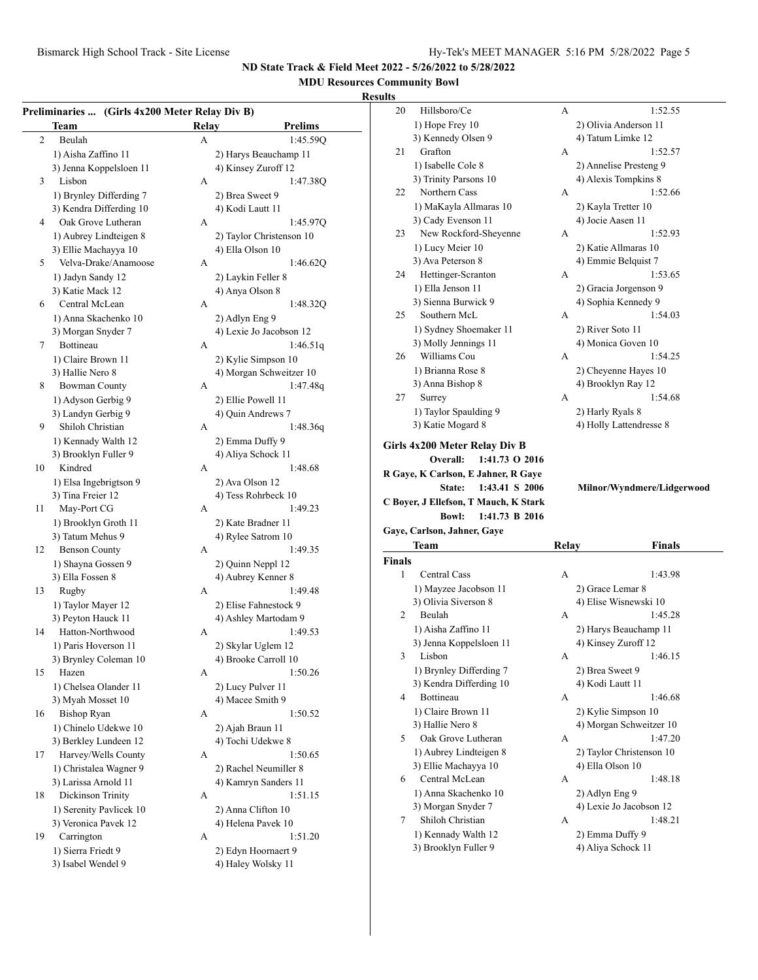# **MDU Resources Community Bowl**

#### **Resu**

|                | Team                             | Relay | <b>Prelims</b>                          |
|----------------|----------------------------------|-------|-----------------------------------------|
| $\overline{2}$ | Beulah                           | А     | 1:45.59Q                                |
|                | 1) Aisha Zaffino 11              |       | 2) Harys Beauchamp 11                   |
|                | 3) Jenna Koppelsloen 11          |       | 4) Kinsey Zuroff 12                     |
| 3              | Lisbon                           | А     | 1:47.38Q                                |
|                | 1) Brynley Differding 7          |       | 2) Brea Sweet 9                         |
|                | 3) Kendra Differding 10          |       | 4) Kodi Lautt 11                        |
| 4              | Oak Grove Lutheran               | A     | 1:45.97Q                                |
|                | 1) Aubrey Lindteigen 8           |       | 2) Taylor Christenson 10                |
|                | 3) Ellie Machayya 10             |       | 4) Ella Olson 10                        |
| 5              | Velva-Drake/Anamoose             | А     | 1:46.62Q                                |
|                | 1) Jadyn Sandy 12                |       | 2) Laykin Feller 8                      |
|                | 3) Katie Mack 12                 |       | 4) Anya Olson 8                         |
| 6              | Central McLean                   | A     | 1:48.32Q                                |
|                | 1) Anna Skachenko 10             |       | 2) Adlyn Eng 9                          |
|                | 3) Morgan Snyder 7               |       | 4) Lexie Jo Jacobson 12                 |
| 7              | Bottineau                        | A     | 1:46.51q                                |
|                | 1) Claire Brown 11               |       | 2) Kylie Simpson 10                     |
|                | 3) Hallie Nero 8                 |       | 4) Morgan Schweitzer 10                 |
| 8              | <b>Bowman County</b>             | A     | 1:47.48q                                |
|                | 1) Adyson Gerbig 9               |       |                                         |
|                | 3) Landyn Gerbig 9               |       | 2) Ellie Powell 11<br>4) Quin Andrews 7 |
| 9              | Shiloh Christian                 | A     | 1:48.36q                                |
|                |                                  |       |                                         |
|                | 1) Kennady Walth 12              |       | 2) Emma Duffy 9                         |
|                | 3) Brooklyn Fuller 9             |       | 4) Aliya Schock 11                      |
| 10             | Kindred                          | A     | 1:48.68                                 |
|                | 1) Elsa Ingebrigtson 9           |       | 2) Ava Olson 12                         |
|                | 3) Tina Freier 12                |       | 4) Tess Rohrbeck 10                     |
| 11             | May-Port CG                      | A     | 1:49.23                                 |
|                | 1) Brooklyn Groth 11             |       | 2) Kate Bradner 11                      |
|                | 3) Tatum Mehus 9                 |       | 4) Rylee Satrom 10                      |
| 12             | <b>Benson County</b>             | A     | 1:49.35                                 |
|                | 1) Shayna Gossen 9               |       | 2) Quinn Neppl 12                       |
|                | 3) Ella Fossen 8                 |       | 4) Aubrey Kenner 8                      |
| 13             | Rugby                            | A     | 1:49.48                                 |
|                | 1) Taylor Mayer 12               |       | 2) Elise Fahnestock 9                   |
|                | 3) Peyton Hauck 11               |       | 4) Ashley Martodam 9                    |
| 14             | Hatton-Northwood                 | А     | 1:49.53                                 |
|                | 1) Paris Hoverson 11             |       | 2) Skylar Uglem 12                      |
|                | 3) Brynley Coleman 10            |       | 4) Brooke Carroll 10                    |
| 15             | Hazen                            | А     | 1:50.26                                 |
|                | 1) Chelsea Olander 11            |       | 2) Lucy Pulver 11                       |
|                | 3) Myah Mosset 10                |       | 4) Macee Smith 9                        |
| 16             | <b>Bishop Ryan</b>               | А     | 1:50.52                                 |
|                | 1) Chinelo Udekwe 10             |       | 2) Ajah Braun 11                        |
|                | 3) Berkley Lundeen 12            |       | 4) Tochi Udekwe 8                       |
| 17             | Harvey/Wells County              | А     | 1:50.65                                 |
|                | 1) Christalea Wagner 9           |       | 2) Rachel Neumiller 8                   |
|                | 3) Larissa Arnold 11             |       | 4) Kamryn Sanders 11                    |
| 18             | Dickinson Trinity                | А     | 1:51.15                                 |
|                | 1) Serenity Pavlicek 10          |       | 2) Anna Clifton 10                      |
|                | 3) Veronica Pavek 12             |       | 4) Helena Pavek 10                      |
|                |                                  |       |                                         |
| 19             |                                  | А     | 1:51.20                                 |
|                | Carrington<br>1) Sierra Friedt 9 |       | 2) Edyn Hoornaert 9                     |

|               | ommunity Bowl,                                                                                                                                                           |              |                                    |
|---------------|--------------------------------------------------------------------------------------------------------------------------------------------------------------------------|--------------|------------------------------------|
| ults          |                                                                                                                                                                          |              |                                    |
| 20            | Hillsboro/Ce                                                                                                                                                             | А            | 1:52.55                            |
|               | 1) Hope Frey 10                                                                                                                                                          |              | 2) Olivia Anderson 11              |
|               | 3) Kennedy Olsen 9                                                                                                                                                       |              | 4) Tatum Limke 12                  |
| 21            | Grafton                                                                                                                                                                  | А            | 1:52.57                            |
|               | 1) Isabelle Cole 8                                                                                                                                                       |              | 2) Annelise Presteng 9             |
|               | 3) Trinity Parsons 10                                                                                                                                                    |              | 4) Alexis Tompkins 8               |
| 22            | Northern Cass                                                                                                                                                            | А            | 1:52.66                            |
|               | 1) MaKayla Allmaras 10                                                                                                                                                   |              | 2) Kayla Tretter 10                |
|               | 3) Cady Evenson 11                                                                                                                                                       |              | 4) Jocie Aasen 11                  |
| 23            | New Rockford-Sheyenne                                                                                                                                                    | A            | 1:52.93                            |
|               | 1) Lucy Meier 10                                                                                                                                                         |              | 2) Katie Allmaras 10               |
|               | 3) Ava Peterson 8                                                                                                                                                        |              | 4) Emmie Belquist 7                |
| 24            | Hettinger-Scranton                                                                                                                                                       | А            | 1:53.65                            |
|               | 1) Ella Jenson 11                                                                                                                                                        |              | 2) Gracia Jorgenson 9              |
|               | 3) Sienna Burwick 9                                                                                                                                                      |              | 4) Sophia Kennedy 9                |
| 25            | Southern McL                                                                                                                                                             | А            | 1:54.03                            |
|               | 1) Sydney Shoemaker 11                                                                                                                                                   |              | 2) River Soto 11                   |
|               | 3) Molly Jennings 11                                                                                                                                                     |              | 4) Monica Goven 10                 |
| 26            | Williams Cou                                                                                                                                                             | А            | 1:54.25                            |
|               | 1) Brianna Rose 8                                                                                                                                                        |              | 2) Cheyenne Hayes 10               |
|               | 3) Anna Bishop 8                                                                                                                                                         |              | 4) Brooklyn Ray 12                 |
| 27            | Surrey                                                                                                                                                                   | A            | 1:54.68                            |
|               | 1) Taylor Spaulding 9                                                                                                                                                    |              | 2) Harly Ryals 8                   |
|               | 3) Katie Mogard 8                                                                                                                                                        |              | 4) Holly Lattendresse 8            |
|               | 1:41.73 O 2016<br>Overall:<br>R Gaye, K Carlson, E Jahner, R Gaye<br>State:<br>1:43.41 S 2006<br>C Boyer, J Ellefson, T Mauch, K Stark<br>1:41.73 B 2016<br><b>Bowl:</b> |              | Milnor/Wyndmere/Lidgerwood         |
|               | Gaye, Carlson, Jahner, Gaye                                                                                                                                              |              |                                    |
|               | Team                                                                                                                                                                     | <b>Relay</b> | Finals                             |
| <b>Finals</b> |                                                                                                                                                                          |              |                                    |
| 1             | <b>Central Cass</b>                                                                                                                                                      | А            | 1:43.98                            |
|               | 1) Mayzee Jacobson 11                                                                                                                                                    |              | 2) Grace Lemar 8                   |
|               | 3) Olivia Siverson 8                                                                                                                                                     |              | 4) Elise Wisnewski 10              |
| 2             | Beulah                                                                                                                                                                   | A            | 1:45.28                            |
|               | 1) Aisha Zaffino 11                                                                                                                                                      |              | 2) Harys Beauchamp 11              |
|               | 3) Jenna Koppelsloen 11                                                                                                                                                  |              | 4) Kinsey Zuroff 12                |
| 3             | Lisbon                                                                                                                                                                   | А            | 1:46.15                            |
|               | 1) Brynley Differding 7                                                                                                                                                  |              | 2) Brea Sweet 9                    |
|               | 3) Kendra Differding 10                                                                                                                                                  |              | 4) Kodi Lautt 11                   |
| 4             | Bottineau                                                                                                                                                                | А            | 1:46.68                            |
|               |                                                                                                                                                                          |              | 2) Kylie Simpson 10                |
|               |                                                                                                                                                                          |              |                                    |
| 5             | 1) Claire Brown 11<br>3) Hallie Nero 8                                                                                                                                   |              |                                    |
|               | Oak Grove Lutheran                                                                                                                                                       | А            | 4) Morgan Schweitzer 10<br>1:47.20 |
|               | 1) Aubrey Lindteigen 8                                                                                                                                                   |              | 2) Taylor Christenson 10           |
|               | 3) Ellie Machayya 10                                                                                                                                                     |              | 4) Ella Olson 10                   |
| 6             | Central McLean                                                                                                                                                           | А            | 1:48.18                            |
|               | 1) Anna Skachenko 10                                                                                                                                                     |              | 2) Adlyn Eng 9                     |
|               | 3) Morgan Snyder 7                                                                                                                                                       |              | 4) Lexie Jo Jacobson 12            |

1) Kennady Walth 12 2) Emma Duffy 9 3) Brooklyn Fuller 9 4) Aliya Schock 11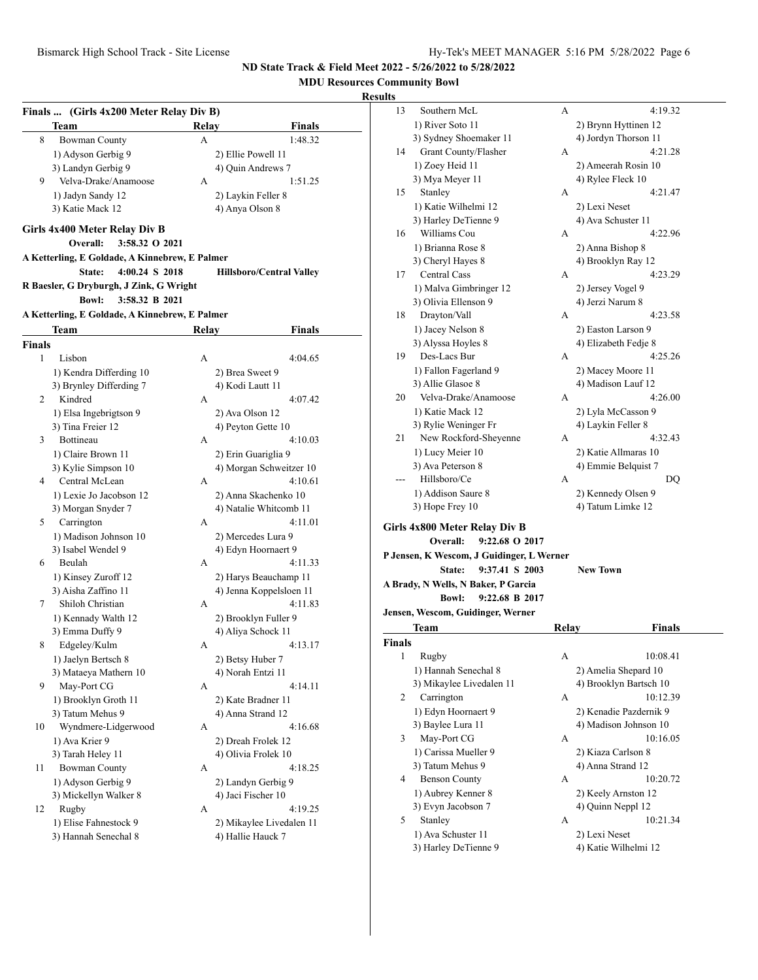## **MDU Resources Community Bowl**

### **Result**

|                    | Finals  (Girls 4x200 Meter Relay Div B)        |       |                                                |
|--------------------|------------------------------------------------|-------|------------------------------------------------|
|                    | Team                                           | Relay | Finals                                         |
| 8                  | <b>Bowman County</b>                           | А     | 1:48.32                                        |
|                    | 1) Adyson Gerbig 9                             |       | 2) Ellie Powell 11                             |
|                    | 3) Landyn Gerbig 9                             |       | 4) Quin Andrews 7                              |
| 9                  | Velva-Drake/Anamoose                           | А     | 1:51.25                                        |
|                    | 1) Jadyn Sandy 12                              |       | 2) Laykin Feller 8                             |
|                    | 3) Katie Mack 12                               |       | 4) Anya Olson 8                                |
|                    | Girls 4x400 Meter Relay Div B                  |       |                                                |
|                    | 3:58.32 O 2021<br>Overall:                     |       |                                                |
|                    | A Ketterling, E Goldade, A Kinnebrew, E Palmer |       |                                                |
|                    | 4:00.24 S 2018<br>State:                       |       | <b>Hillsboro/Central Valley</b>                |
|                    | R Baesler, G Dryburgh, J Zink, G Wright        |       |                                                |
|                    | <b>Bowl:</b><br>3:58.32 B 2021                 |       |                                                |
|                    | A Ketterling, E Goldade, A Kinnebrew, E Palmer |       |                                                |
|                    | Team                                           | Relay | Finals                                         |
|                    |                                                |       |                                                |
| <b>Finals</b><br>1 | Lisbon                                         | А     | 4:04.65                                        |
|                    |                                                |       |                                                |
|                    | 1) Kendra Differding 10                        |       | 2) Brea Sweet 9<br>4) Kodi Lautt 11            |
| 2                  | 3) Brynley Differding 7<br>Kindred             | А     | 4:07.42                                        |
|                    |                                                |       |                                                |
|                    | 1) Elsa Ingebrigtson 9<br>3) Tina Freier 12    |       | 2) Ava Olson 12<br>4) Peyton Gette 10          |
| 3                  | <b>Bottineau</b>                               | А     | 4:10.03                                        |
|                    |                                                |       |                                                |
|                    | 1) Claire Brown 11                             |       | 2) Erin Guariglia 9<br>4) Morgan Schweitzer 10 |
| 4                  | 3) Kylie Simpson 10<br>Central McLean          | А     | 4:10.61                                        |
|                    |                                                |       |                                                |
|                    | 1) Lexie Jo Jacobson 12                        |       | 2) Anna Skachenko 10<br>4) Natalie Whitcomb 11 |
| 5                  | 3) Morgan Snyder 7<br>Carrington               | А     | 4:11.01                                        |
|                    | 1) Madison Johnson 10                          |       |                                                |
|                    | 3) Isabel Wendel 9                             |       | 2) Mercedes Lura 9<br>4) Edyn Hoornaert 9      |
| 6                  | Beulah                                         | А     | 4:11.33                                        |
|                    | 1) Kinsey Zuroff 12                            |       | 2) Harys Beauchamp 11                          |
|                    | 3) Aisha Zaffino 11                            |       | 4) Jenna Koppelsloen 11                        |
| 7                  | Shiloh Christian                               | А     | 4:11.83                                        |
|                    | 1) Kennady Walth 12                            |       | 2) Brooklyn Fuller 9                           |
|                    | 3) Emma Duffy 9                                |       | 4) Aliya Schock 11                             |
| 8                  | Edgeley/Kulm                                   | А     | 4:13.17                                        |
|                    | 1) Jaelyn Bertsch 8                            |       | 2) Betsy Huber 7                               |
|                    | 3) Mataeya Mathern 10                          |       | 4) Norah Entzi 11                              |
| 9                  | May-Port CG                                    | А     | 4:14.11                                        |
|                    | 1) Brooklyn Groth 11                           |       | 2) Kate Bradner 11                             |
|                    | 3) Tatum Mehus 9                               |       | 4) Anna Strand 12                              |
| 10                 | Wyndmere-Lidgerwood                            | А     | 4:16.68                                        |
|                    | 1) Ava Krier 9                                 |       | 2) Dreah Frolek 12                             |
|                    | 3) Tarah Heley 11                              |       | 4) Olivia Frolek 10                            |
| 11                 | <b>Bowman County</b>                           | А     | 4:18.25                                        |
|                    | 1) Adyson Gerbig 9                             |       | 2) Landyn Gerbig 9                             |
|                    | 3) Mickellyn Walker 8                          |       | 4) Jaci Fischer 10                             |
| 12                 | Rugby                                          | А     | 4:19.25                                        |
|                    | 1) Elise Fahnestock 9                          |       | 2) Mikaylee Livedalen 11                       |
|                    | 3) Hannah Senechal 8                           |       | 4) Hallie Hauck 7                              |
|                    |                                                |       |                                                |
|                    |                                                |       |                                                |

| ults          |                                           |       |                        |  |
|---------------|-------------------------------------------|-------|------------------------|--|
| 13            | Southern McL                              | А     | 4:19.32                |  |
|               | 1) River Soto 11                          |       | 2) Brynn Hyttinen 12   |  |
|               | 3) Sydney Shoemaker 11                    |       | 4) Jordyn Thorson 11   |  |
| 14            | Grant County/Flasher                      | А     | 4:21.28                |  |
|               | 1) Zoey Heid 11                           |       | 2) Ameerah Rosin 10    |  |
|               | 3) Mya Meyer 11                           |       | 4) Rylee Fleck 10      |  |
| 15            | Stanley                                   | A     | 4:21.47                |  |
|               | 1) Katie Wilhelmi 12                      |       | 2) Lexi Neset          |  |
|               | 3) Harley DeTienne 9                      |       | 4) Ava Schuster 11     |  |
| 16            | Williams Cou                              | A     | 4:22.96                |  |
|               |                                           |       |                        |  |
|               | 1) Brianna Rose 8                         |       | 2) Anna Bishop 8       |  |
|               | 3) Cheryl Hayes 8                         |       | 4) Brooklyn Ray 12     |  |
| 17            | <b>Central Cass</b>                       | A     | 4:23.29                |  |
|               | 1) Malva Gimbringer 12                    |       | 2) Jersey Vogel 9      |  |
|               | 3) Olivia Ellenson 9                      |       | 4) Jerzi Narum 8       |  |
| 18            | Drayton/Vall                              | A     | 4:23.58                |  |
|               | 1) Jacey Nelson 8                         |       | 2) Easton Larson 9     |  |
|               | 3) Alyssa Hoyles 8                        |       | 4) Elizabeth Fedje 8   |  |
| 19            | Des-Lacs Bur                              | А     | 4:25.26                |  |
|               | 1) Fallon Fagerland 9                     |       | 2) Macey Moore 11      |  |
|               | 3) Allie Glasoe 8                         |       | 4) Madison Lauf 12     |  |
| 20            | Velva-Drake/Anamoose                      | A     | 4:26.00                |  |
|               | 1) Katie Mack 12                          |       | 2) Lyla McCasson 9     |  |
|               | 3) Rylie Weninger Fr                      |       | 4) Laykin Feller 8     |  |
| 21            | New Rockford-Sheyenne                     | А     | 4:32.43                |  |
|               | 1) Lucy Meier 10                          |       | 2) Katie Allmaras 10   |  |
|               | 3) Ava Peterson 8                         |       | 4) Emmie Belquist 7    |  |
|               | Hillsboro/Ce                              | A     | DQ                     |  |
|               | 1) Addison Saure 8                        |       | 2) Kennedy Olsen 9     |  |
|               | 3) Hope Frey 10                           |       | 4) Tatum Limke 12      |  |
|               |                                           |       |                        |  |
|               | Girls 4x800 Meter Relay Div B             |       |                        |  |
|               | 9:22.68 O 2017<br>Overall:                |       |                        |  |
|               | P Jensen, K Wescom, J Guidinger, L Werner |       |                        |  |
|               | 9:37.41 S 2003<br>State:                  |       | <b>New Town</b>        |  |
|               | A Brady, N Wells, N Baker, P Garcia       |       |                        |  |
|               | <b>Bowl:</b><br>9:22.68 B 2017            |       |                        |  |
|               | Jensen, Wescom, Guidinger, Werner         |       |                        |  |
|               | Team                                      | Relay | <b>Finals</b>          |  |
| <b>Finals</b> |                                           |       |                        |  |
| 1             | Rugby                                     | А     | 10:08.41               |  |
|               |                                           |       |                        |  |
|               | 1) Hannah Senechal 8                      |       | 2) Amelia Shepard 10   |  |
|               | 3) Mikaylee Livedalen 11                  |       | 4) Brooklyn Bartsch 10 |  |
| 2             |                                           |       |                        |  |
|               | Carrington                                | А     | 10:12.39               |  |
|               | 1) Edyn Hoornaert 9                       |       | 2) Kenadie Pazdernik 9 |  |
|               | 3) Baylee Lura 11                         |       | 4) Madison Johnson 10  |  |
| 3             | May-Port CG                               | А     | 10:16.05               |  |
|               | 1) Carissa Mueller 9                      |       | 2) Kiaza Carlson 8     |  |
|               | 3) Tatum Mehus 9                          |       | 4) Anna Strand 12      |  |
| 4             | <b>Benson County</b>                      | А     | 10:20.72               |  |
|               | 1) Aubrey Kenner 8                        |       | 2) Keely Arnston 12    |  |
|               | 3) Evyn Jacobson 7                        |       | 4) Quinn Neppl 12      |  |
| 5             | Stanley                                   | A     | 10:21.34               |  |
|               | 1) Ava Schuster 11                        |       | 2) Lexi Neset          |  |
|               | 3) Harley DeTienne 9                      |       | 4) Katie Wilhelmi 12   |  |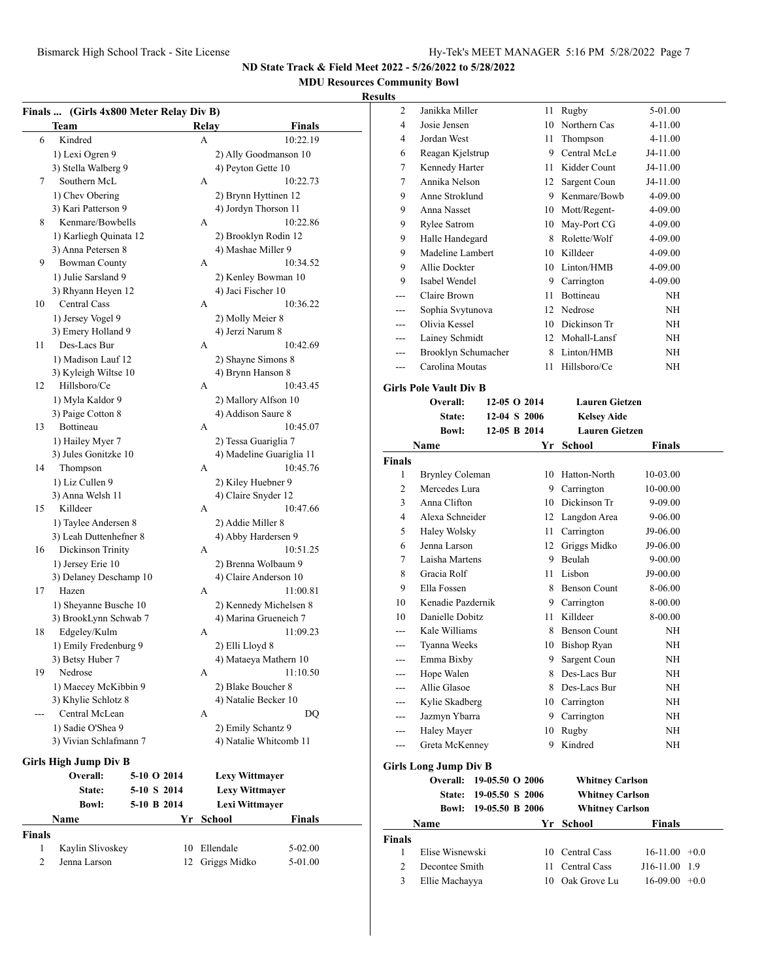#### **MDU Resources Community Bowl**

#### **Result**

|                | Finals  (Girls 4x800 Meter Relay Div B) |             |    |       |                          |               |  |
|----------------|-----------------------------------------|-------------|----|-------|--------------------------|---------------|--|
|                | Team                                    |             |    | Relay |                          | Finals        |  |
| 6              | Kindred                                 |             |    | А     |                          | 10:22.19      |  |
|                | 1) Lexi Ogren 9                         |             |    |       | 2) Ally Goodmanson 10    |               |  |
|                | 3) Stella Walberg 9                     |             |    |       | 4) Peyton Gette 10       |               |  |
| 7              | Southern McL                            |             |    | А     |                          | 10:22.73      |  |
|                | 1) Chev Obering                         |             |    |       | 2) Brynn Hyttinen 12     |               |  |
|                | 3) Kari Patterson 9                     |             |    |       | 4) Jordyn Thorson 11     |               |  |
| 8              | Kenmare/Bowbells                        |             |    | А     |                          | 10:22.86      |  |
|                | 1) Karliegh Quinata 12                  |             |    |       | 2) Brooklyn Rodin 12     |               |  |
|                | 3) Anna Petersen 8                      |             |    |       | 4) Mashae Miller 9       |               |  |
| 9              | <b>Bowman County</b>                    |             |    | А     |                          | 10:34.52      |  |
|                | 1) Julie Sarsland 9                     |             |    |       | 2) Kenley Bowman 10      |               |  |
|                | 3) Rhyann Heyen 12                      |             |    |       | 4) Jaci Fischer 10       |               |  |
| 10             | Central Cass                            |             |    | A     |                          | 10:36.22      |  |
|                | 1) Jersey Vogel 9                       |             |    |       | 2) Molly Meier 8         |               |  |
|                | 3) Emery Holland 9                      |             |    |       | 4) Jerzi Narum 8         |               |  |
| 11             | Des-Lacs Bur                            |             |    | A     |                          | 10:42.69      |  |
|                | 1) Madison Lauf 12                      |             |    |       | 2) Shayne Simons 8       |               |  |
|                | 3) Kyleigh Wiltse 10                    |             |    |       | 4) Brynn Hanson 8        |               |  |
| 12             | Hillsboro/Ce                            |             |    | А     |                          | 10:43.45      |  |
|                | 1) Myla Kaldor 9                        |             |    |       | 2) Mallory Alfson 10     |               |  |
|                | 3) Paige Cotton 8                       |             |    |       | 4) Addison Saure 8       |               |  |
| 13             | Bottineau                               |             |    | A     |                          | 10:45.07      |  |
|                |                                         |             |    |       |                          |               |  |
|                | 1) Hailey Myer 7                        |             |    |       | 2) Tessa Guariglia 7     |               |  |
|                | 3) Jules Gonitzke 10                    |             |    |       | 4) Madeline Guariglia 11 |               |  |
| 14             | Thompson                                |             |    | A     |                          | 10:45.76      |  |
|                | 1) Liz Cullen 9                         |             |    |       | 2) Kiley Huebner 9       |               |  |
|                | 3) Anna Welsh 11                        |             |    |       | 4) Claire Snyder 12      |               |  |
| 15             | Killdeer                                |             |    | A     |                          | 10:47.66      |  |
|                | 1) Taylee Andersen 8                    |             |    |       | 2) Addie Miller 8        |               |  |
|                | 3) Leah Duttenhefner 8                  |             |    |       | 4) Abby Hardersen 9      |               |  |
| 16             | Dickinson Trinity                       |             |    | А     |                          | 10:51.25      |  |
|                | 1) Jersey Erie 10                       |             |    |       | 2) Brenna Wolbaum 9      |               |  |
|                | 3) Delaney Deschamp 10                  |             |    |       | 4) Claire Anderson 10    |               |  |
| 17             | Hazen                                   |             |    | A     |                          | 11:00.81      |  |
|                | 1) Sheyanne Busche 10                   |             |    |       | 2) Kennedy Michelsen 8   |               |  |
|                | 3) BrookLynn Schwab 7                   |             |    |       | 4) Marina Grueneich 7    |               |  |
| 18             | Edgeley/Kulm                            |             |    | А     |                          | 11:09.23      |  |
|                | 1) Emily Fredenburg 9                   |             |    |       | 2) Elli Lloyd 8          |               |  |
|                | 3) Betsy Huber 7                        |             |    |       | 4) Mataeya Mathern 10    |               |  |
| 19             | Nedrose                                 |             |    | А     |                          | 11:10.50      |  |
|                | 1) Maecey McKibbin 9                    |             |    |       | 2) Blake Boucher 8       |               |  |
|                | 3) Khylie Schlotz 8                     |             |    |       | 4) Natalie Becker 10     |               |  |
|                | Central McLean                          |             |    | А     |                          | DQ            |  |
|                | 1) Sadie O'Shea 9                       |             |    |       | 2) Emily Schantz 9       |               |  |
|                | 3) Vivian Schlafmann 7                  |             |    |       | 4) Natalie Whitcomb 11   |               |  |
|                | <b>Girls High Jump Div B</b>            |             |    |       |                          |               |  |
|                | Overall:                                | 5-10 O 2014 |    |       | Lexy Wittmayer           |               |  |
|                | State:                                  | 5-10 S 2014 |    |       | <b>Lexy Wittmayer</b>    |               |  |
|                |                                         |             |    |       |                          |               |  |
|                | <b>Bowl:</b>                            | 5-10 B 2014 |    |       | Lexi Wittmayer           |               |  |
|                | Name                                    |             | Yr |       | School                   | <b>Finals</b> |  |
| <b>Finals</b>  |                                         |             |    |       |                          |               |  |
| 1              | Kaylin Slivoskey                        |             |    |       | 10 Ellendale             | 5-02.00       |  |
| $\overline{c}$ | Jenna Larson                            |             | 12 |       | Griggs Midko             | 5-01.00       |  |

| ults           |                               |                |                       |               |  |
|----------------|-------------------------------|----------------|-----------------------|---------------|--|
| $\overline{2}$ | Janikka Miller                | 11             | Rugby                 | 5-01.00       |  |
| 4              | Josie Jensen                  | 10             | Northern Cas          | 4-11.00       |  |
| 4              | Jordan West                   | 11             | Thompson              | 4-11.00       |  |
| 6              | Reagan Kjelstrup              | 9              | Central McLe          | J4-11.00      |  |
| 7              | Kennedy Harter                | 11             | Kidder Count          | J4-11.00      |  |
| $\tau$         | Annika Nelson                 | 12             | Sargent Coun          | J4-11.00      |  |
| 9              | Anne Stroklund                | 9              | Kenmare/Bowb          | 4-09.00       |  |
| 9              | Anna Nasset                   | 10             | Mott/Regent-          | 4-09.00       |  |
| 9              | <b>Rylee Satrom</b>           | 10             | May-Port CG           | 4-09.00       |  |
| 9              | Halle Handegard               | 8              | Rolette/Wolf          | 4-09.00       |  |
| 9              | Madeline Lambert              | 10             | Killdeer              | 4-09.00       |  |
| 9              | Allie Dockter                 | 10             | Linton/HMB            | 4-09.00       |  |
| 9              | Isabel Wendel                 | 9              | Carrington            | 4-09.00       |  |
|                | Claire Brown                  | 11             | Bottineau             | NH            |  |
| ---            | Sophia Svytunova              | 12             | Nedrose               | NΗ            |  |
| ---            | Olivia Kessel                 | 10             | Dickinson Tr          | NH            |  |
|                | Lainey Schmidt                | 12             | Mohall-Lansf          | NH            |  |
| ---            | Brooklyn Schumacher           | 8              | Linton/HMB            | NΗ            |  |
| ---            | Carolina Moutas               | 11             | Hillsboro/Ce          | ΝH            |  |
|                | <b>Girls Pole Vault Div B</b> |                |                       |               |  |
|                | Overall:                      | $12-05$ O 2014 | <b>Lauren Gietzen</b> |               |  |
|                | State:                        | 12-04 S 2006   | <b>Kelsey Aide</b>    |               |  |
|                | <b>Bowl:</b>                  | 12-05 B 2014   | <b>Lauren Gietzen</b> |               |  |
|                | Name                          | Yr             | <b>School</b>         | <b>Finals</b> |  |
| <b>Finals</b>  |                               |                |                       |               |  |
| 1              | <b>Brynley Coleman</b>        | 10             | Hatton-North          | 10-03.00      |  |
| $\overline{c}$ | Mercedes Lura                 | 9              | Carrington            | 10-00.00      |  |
| 3              | Anna Clifton                  | 10             | Dickinson Tr          | 9-09.00       |  |
| 4              | Alexa Schneider               | 12             | Langdon Area          | $9 - 06.00$   |  |
| 5              | Haley Wolsky                  | 11             | Carrington            | J9-06.00      |  |
| 6              | Jenna Larson                  | 12             | Griggs Midko          | J9-06.00      |  |
| 7              | Laisha Martens                | 9              | Beulah                | $9 - 00.00$   |  |
| 8              | Gracia Rolf                   | 11             | Lisbon                | J9-00.00      |  |
| 9              | Ella Fossen                   | 8              | <b>Benson Count</b>   | 8-06.00       |  |

# **Girls Long Jump Div B**

|               |                 | Overall: 19-05.50 O 2006 |    | <b>Whitney Carlson</b> |                    |
|---------------|-----------------|--------------------------|----|------------------------|--------------------|
|               | <b>State:</b>   | 19-05.50 S 2006          |    | <b>Whitney Carlson</b> |                    |
|               | Bowl:           | 19-05.50 B 2006          |    | <b>Whitney Carlson</b> |                    |
|               | <b>Name</b>     |                          |    | Yr School              | <b>Finals</b>      |
| <b>Finals</b> |                 |                          |    |                        |                    |
|               | Elise Wisnewski |                          |    | 10 Central Cass        | $16-11.00 + 0.0$   |
| 2             | Decontee Smith  |                          | 11 | Central Cass           | J16-11.00<br>1.9   |
| 3             | Ellie Machayya  |                          | 10 | Oak Grove Lu           | 16-09.00<br>$+0.0$ |

10 Kenadie Pazdernik 9 Carrington 8-00.00 10 Danielle Dobitz 11 Killdeer 8-00.00 --- Kale Williams 8 Benson Count NH --- Tyanna Weeks 10 Bishop Ryan NH --- Emma Bixby 9 Sargent Coun NH --- Hope Walen 8 Des-Lacs Bur NH --- Allie Glasoe 8 Des-Lacs Bur NH --- Kylie Skadberg 10 Carrington NH --- Jazmyn Ybarra 9 Carrington NH --- Haley Mayer 10 Rugby NH --- Greta McKenney 9 Kindred NH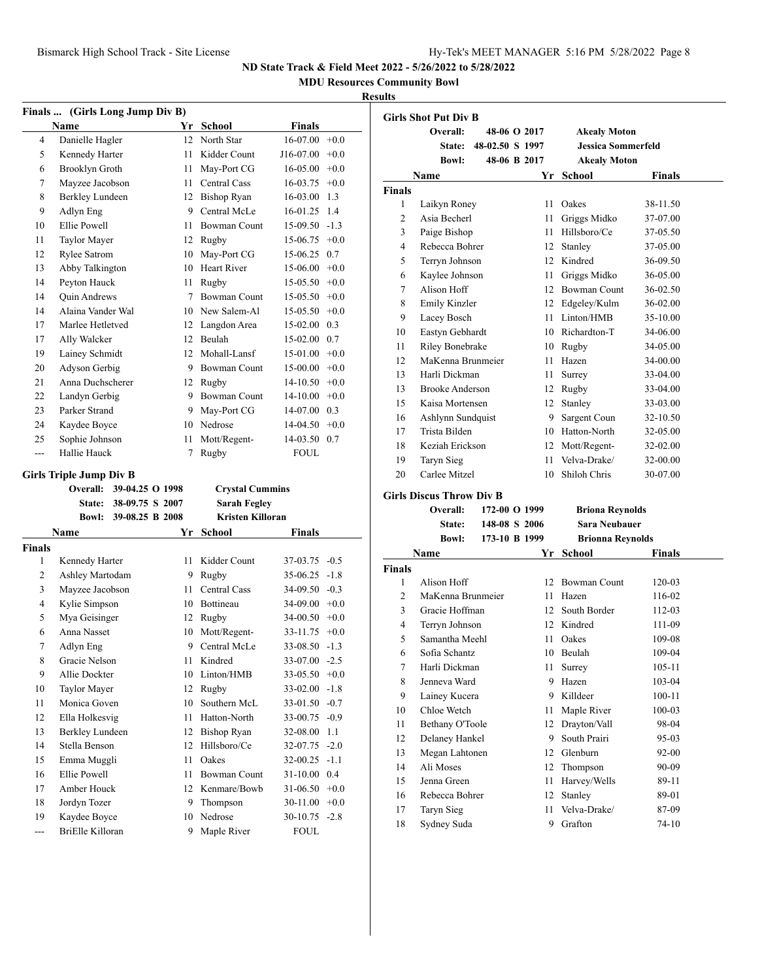**MDU Resources Community Bowl**

#### **Results**

|                | Finals  (Girls Long Jump Div B) |                 |      |                         |               |        |  |
|----------------|---------------------------------|-----------------|------|-------------------------|---------------|--------|--|
|                | Name                            |                 |      | Yr School               | <b>Finals</b> |        |  |
| 4              | Danielle Hagler                 |                 | 12   | North Star              | 16-07.00      | $+0.0$ |  |
| 5              | Kennedy Harter                  |                 | 11   | Kidder Count            | J16-07.00     | $+0.0$ |  |
| 6              | Brooklyn Groth                  |                 | 11   | May-Port CG             | 16-05.00      | $+0.0$ |  |
| 7              | Mayzee Jacobson                 |                 | 11 - | Central Cass            | 16-03.75      | $+0.0$ |  |
| 8              | Berkley Lundeen                 |                 |      | 12 Bishop Ryan          | 16-03.00      | 1.3    |  |
| 9              | Adlyn Eng                       |                 |      | 9 Central McLe          | 16-01.25      | 1.4    |  |
| 10             | Ellie Powell                    |                 | 11   | <b>Bowman Count</b>     | 15-09.50      | $-1.3$ |  |
| 11             | Taylor Mayer                    |                 |      | 12 Rugby                | 15-06.75      | $+0.0$ |  |
| 12             | Rylee Satrom                    |                 | 10   | May-Port CG             | 15-06.25      | 0.7    |  |
| 13             | Abby Talkington                 |                 |      | 10 Heart River          | 15-06.00      | $+0.0$ |  |
| 14             | Peyton Hauck                    |                 | 11   | Rugby                   | 15-05.50      | $+0.0$ |  |
| 14             | Quin Andrews                    |                 | 7    | <b>Bowman Count</b>     | 15-05.50      | $+0.0$ |  |
| 14             | Alaina Vander Wal               |                 |      | 10 New Salem-Al         | 15-05.50      | $+0.0$ |  |
| 17             | Marlee Hetletved                |                 |      | 12 Langdon Area         | 15-02.00      | 0.3    |  |
| 17             | Ally Walcker                    |                 |      | 12 Beulah               | 15-02.00      | 0.7    |  |
| 19             | Lainey Schmidt                  |                 |      | 12 Mohall-Lansf         | 15-01.00      | $+0.0$ |  |
| 20             | Adyson Gerbig                   |                 |      | 9 Bowman Count          | 15-00.00      | $+0.0$ |  |
| 21             | Anna Duchscherer                |                 |      | 12 Rugby                | 14-10.50      | $+0.0$ |  |
| 22             | Landyn Gerbig                   |                 |      | 9 Bowman Count          | 14-10.00      | $+0.0$ |  |
| 23             | Parker Strand                   |                 | 9.   | May-Port CG             | 14-07.00      | 0.3    |  |
| 24             | Kaydee Boyce                    |                 |      | 10 Nedrose              | 14-04.50      | $+0.0$ |  |
| 25             | Sophie Johnson                  |                 | 11   | Mott/Regent-            | 14-03.50      | 0.7    |  |
| $\overline{a}$ | Hallie Hauck                    |                 | 7    | Rugby                   | <b>FOUL</b>   |        |  |
|                | <b>Girls Triple Jump Div B</b>  |                 |      |                         |               |        |  |
|                | <b>Overall:</b>                 | 39-04.25 O 1998 |      | <b>Crystal Cummins</b>  |               |        |  |
|                | <b>State:</b>                   | 38-09.75 S 2007 |      | <b>Sarah Fegley</b>     |               |        |  |
|                | <b>Bowl:</b>                    | 39-08.25 B 2008 |      | <b>Kristen Killoran</b> |               |        |  |
|                | Name                            |                 | Yr   | School                  | <b>Finals</b> |        |  |
| <b>Finals</b>  |                                 |                 |      |                         |               |        |  |
| 1              | Kennedy Harter                  |                 | 11 - | Kidder Count            | 37-03.75      | $-0.5$ |  |
| 2              | Ashley Martodam                 |                 |      | 9 Rugby                 | 35-06.25      | $-1.8$ |  |
| 3              | Mayzee Jacobson                 |                 | 11   | <b>Central Cass</b>     | 34-09.50      | $-0.3$ |  |
| 4              | Kylie Simpson                   |                 |      |                         |               |        |  |
| 5              |                                 |                 |      | 10 Bottineau            | 34-09.00      | $+0.0$ |  |
| 6              |                                 |                 | 12   | Rugby                   | 34-00.50      | $+0.0$ |  |
|                | Mya Geisinger<br>Anna Nasset    |                 | 10   | Mott/Regent-            | 33-11.75      | $+0.0$ |  |
| 7              | Adlyn Eng                       |                 | 9    | Central McLe            | 33-08.50      | $-1.3$ |  |
|                | Gracie Nelson                   |                 | 11   | Kindred                 | 33-07.00      | $-2.5$ |  |
| 8<br>9         | Allie Dockter                   |                 | 10   | Linton/HMB              | 33-05.50      | $+0.0$ |  |
| 10             | Taylor Mayer                    |                 | 12   | Rugby                   | 33-02.00      | $-1.8$ |  |
| 11             | Monica Goven                    |                 | 10   | Southern McL            | 33-01.50      | $-0.7$ |  |
| 12             | Ella Holkesvig                  |                 | 11   | Hatton-North            | 33-00.75      | $-0.9$ |  |
| 13             | Berkley Lundeen                 |                 | 12   | <b>Bishop Ryan</b>      | 32-08.00      | 1.1    |  |
| 14             | Stella Benson                   |                 | 12   | Hillsboro/Ce            | 32-07.75      | $-2.0$ |  |
| 15             | Emma Muggli                     |                 | 11   | Oakes                   | 32-00.25      | $-1.1$ |  |
| 16             | Ellie Powell                    |                 | 11   | Bowman Count            | 31-10.00      | 0.4    |  |
| 17             | Amber Houck                     |                 | 12   | Kenmare/Bowb            | 31-06.50      | $+0.0$ |  |
| 18             | Jordyn Tozer                    |                 | 9    | Thompson                | 30-11.00      | $+0.0$ |  |
| 19             | Kaydee Boyce                    |                 | 10   | Nedrose                 | 30-10.75      | $-2.8$ |  |

|                | <b>Girls Shot Put Div B</b>     |                 |      |                           |               |
|----------------|---------------------------------|-----------------|------|---------------------------|---------------|
|                | Overall:                        | 48-06 O 2017    |      | <b>Akealy Moton</b>       |               |
|                | <b>State:</b>                   | 48-02.50 S 1997 |      | <b>Jessica Sommerfeld</b> |               |
|                | <b>Bowl:</b>                    | 48-06 B 2017    |      | <b>Akealy Moton</b>       |               |
|                | Name                            |                 |      | Yr School                 | <b>Finals</b> |
| <b>Finals</b>  |                                 |                 |      |                           |               |
| 1              | Laikyn Roney                    |                 |      | 11 Oakes                  | 38-11.50      |
| $\mathfrak{D}$ | Asia Becherl                    |                 | 11   | Griggs Midko              | 37-07.00      |
| 3              | Paige Bishop                    |                 | 11   | Hillsboro/Ce              | 37-05.50      |
| 4              | Rebecca Bohrer                  |                 |      | 12 Stanley                | 37-05.00      |
| 5              | Terrvn Johnson                  |                 |      | 12 Kindred                | 36-09.50      |
| 6              | Kaylee Johnson                  |                 |      | 11 Griggs Midko           | 36-05.00      |
| 7              | Alison Hoff                     |                 |      | 12 Bowman Count           | 36-02.50      |
| 8              | <b>Emily Kinzler</b>            |                 |      | 12 Edgeley/Kulm           | 36-02.00      |
| 9              | Lacey Bosch                     |                 |      | 11 Linton/HMB             | 35-10.00      |
| 10             | Eastyn Gebhardt                 |                 |      | 10 Richardton-T           | 34-06.00      |
| 11             | Riley Bonebrake                 |                 |      | 10 Rugby                  | 34-05.00      |
| 12             | MaKenna Brunmeier               |                 |      | 11 Hazen                  | 34-00.00      |
| 13             | Harli Dickman                   |                 | 11   | Surrey                    | 33-04.00      |
| 13             | <b>Brooke Anderson</b>          |                 |      | 12 Rugby                  | 33-04.00      |
| 15             | Kaisa Mortensen                 |                 | 12   | Stanley                   | 33-03.00      |
| 16             | Ashlynn Sundquist               |                 | 9    | Sargent Coun              | 32-10.50      |
| 17             | Trista Bilden                   |                 |      | 10 Hatton-North           | 32-05.00      |
| 18             | Keziah Erickson                 |                 |      | 12 Mott/Regent-           | 32-02.00      |
| 19             | Taryn Sieg                      |                 | 11   | Velva-Drake/              | 32-00.00      |
| 20             | Carlee Mitzel                   |                 |      | 10 Shiloh Chris           | 30-07.00      |
|                | <b>Girls Discus Throw Div B</b> |                 |      |                           |               |
|                | Overall:                        | 172-00 O 1999   |      | <b>Briona Reynolds</b>    |               |
|                | State:                          | 148-08 S 2006   |      | <b>Sara Neubauer</b>      |               |
|                | <b>Bowl:</b>                    | 173-10 B 1999   |      | <b>Brionna Reynolds</b>   |               |
|                | Name                            |                 |      | Yr School                 | <b>Finals</b> |
| <b>Finals</b>  |                                 |                 |      |                           |               |
| $\mathbf{1}$   | Alison Hoff                     |                 |      | 12 Bowman Count           | 120-03        |
| $\overline{2}$ | MaKenna Brunmeier               |                 |      | 11 Hazen                  | 116-02        |
| 3              | Gracie Hoffman                  |                 |      | 12 South Border           | 112-03        |
| $\overline{4}$ | Terryn Johnson                  |                 |      | 12 Kindred                | 111-09        |
| 5              | Samantha Meehl                  |                 |      | 11 Oakes                  | 109-08        |
| 6              | Sofia Schantz                   |                 |      | 10 Beulah                 | 109-04        |
| 7              | Harli Dickman                   |                 | 11 - | Surrey                    | 105-11        |
| 8              | Jenneva Ward                    |                 |      | 9 Hazen                   | 103-04        |
| 9              | Lainey Kucera                   |                 | 9    | Killdeer                  | $100 - 11$    |
| 10             | Chloe Wetch                     |                 | 11   | Maple River               | 100-03        |

 Bethany O'Toole 12 Drayton/Vall 98-04 12 Delaney Hankel 9 South Prairi 95-03 Megan Lahtonen 12 Glenburn 92-00 Ali Moses 12 Thompson 90-09 15 Jenna Green 11 Harvey/Wells 89-11 16 Rebecca Bohrer 12 Stanley 89-01 Taryn Sieg 11 Velva-Drake/ 87-09 Sydney Suda 9 Grafton 74-10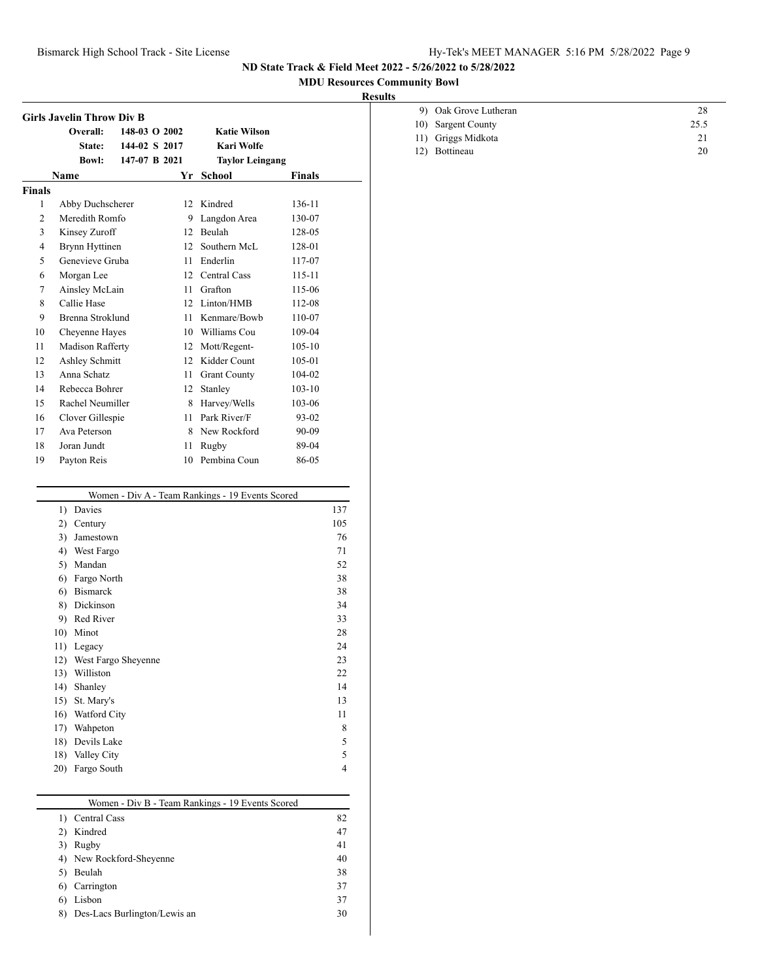### Bismarck High School Track - Site License Hy-Tek's MEET MANAGER 5:16 PM 5/28/2022 Page 9

**ND State Track & Field Meet 2022 - 5/26/2022 to 5/28/2022**

### **MDU Resources Community Bowl**

## **Results**

|                | <b>Girls Javelin Throw Div B</b> |               |      |                                                  |               |            |
|----------------|----------------------------------|---------------|------|--------------------------------------------------|---------------|------------|
|                | Overall:                         | 148-03 O 2002 |      | <b>Katie Wilson</b>                              |               |            |
|                | State:                           | 144-02 S 2017 |      | Kari Wolfe                                       |               |            |
|                | <b>Bowl:</b>                     | 147-07 B 2021 |      | <b>Taylor Leingang</b>                           |               |            |
|                | <b>Name</b>                      |               |      | Yr School                                        | <b>Finals</b> |            |
| <b>Finals</b>  |                                  |               |      |                                                  |               |            |
| 1              | Abby Duchscherer                 |               |      | 12 Kindred                                       | 136-11        |            |
| 2              | Meredith Romfo                   |               |      | 9 Langdon Area                                   | 130-07        |            |
| 3              | Kinsey Zuroff                    |               |      | 12 Beulah                                        | 128-05        |            |
| $\overline{4}$ | Brynn Hyttinen                   |               |      | 12 Southern McL                                  | 128-01        |            |
| 5              | Genevieve Gruba                  |               |      | 11 Enderlin                                      | 117-07        |            |
| 6              | Morgan Lee                       |               |      | 12 Central Cass                                  | 115-11        |            |
| 7              | Ainsley McLain                   |               |      | 11 Grafton                                       | 115-06        |            |
| 8              | Callie Hase                      |               |      | 12 Linton/HMB                                    | 112-08        |            |
| 9              | Brenna Stroklund                 |               |      | 11 Kenmare/Bowb                                  | 110-07        |            |
| 10             | Cheyenne Hayes                   |               |      | 10 Williams Cou                                  | 109-04        |            |
| 11             | Madison Rafferty                 |               |      | 12 Mott/Regent-                                  | $105 - 10$    |            |
| 12             | Ashley Schmitt                   |               |      | 12 Kidder Count                                  | 105-01        |            |
| 13             | Anna Schatz                      |               | 11 - | <b>Grant County</b>                              | 104-02        |            |
| 14             | Rebecca Bohrer                   |               |      | 12 Stanley                                       | $103 - 10$    |            |
| 15             | Rachel Neumiller                 |               |      | 8 Harvey/Wells                                   | 103-06        |            |
| 16             | Clover Gillespie                 |               |      | 11 Park River/F                                  | 93-02         |            |
| 17             | Ava Peterson                     |               |      | 8 New Rockford                                   | 90-09         |            |
| 18             | Joran Jundt                      |               | 11   | Rugby                                            | 89-04         |            |
| 19             | Payton Reis                      |               |      | 10 Pembina Coun                                  | 86-05         |            |
|                |                                  |               |      |                                                  |               |            |
|                |                                  |               |      | Women - Div A - Team Rankings - 19 Events Scored |               |            |
|                | 1) Davies                        |               |      |                                                  |               | 137<br>105 |
|                | 2) Century<br>3) Jamestown       |               |      |                                                  |               | 76         |
|                | 4) West Fargo                    |               |      |                                                  |               | 71         |
|                | 5) Mandan                        |               |      |                                                  |               | 52         |
|                | 6) Fargo North                   |               |      |                                                  |               | 38         |
|                | 6) Bismarck                      |               |      |                                                  |               | 38         |
|                | 8) Dickinson                     |               |      |                                                  |               | 34         |
|                | 9) Red River                     |               |      |                                                  |               | 33         |
|                | 10) Minot                        |               |      |                                                  |               | 28         |
|                | 11) Legacy                       |               |      |                                                  |               | 24         |
|                | 12) West Fargo Sheyenne          |               |      |                                                  |               | 23         |
|                | 13) Williston                    |               |      |                                                  |               | 22         |
|                | 14)<br>Shanley                   |               |      |                                                  |               | 14         |

| 9) Oak Grove Lutheran | 28   |  |
|-----------------------|------|--|
| 10) Sargent County    | 25.5 |  |
| 11) Griggs Midkota    | 21   |  |
| 12) Bottineau         | 20   |  |
|                       |      |  |

|    | Women - Div B - Team Rankings - 19 Events Scored |    |
|----|--------------------------------------------------|----|
|    | Central Cass                                     | 82 |
|    | Kindred                                          | 47 |
| 3) | Rugby                                            | 41 |
|    | 4) New Rockford-Sheyenne                         | 40 |
| 5) | Beulah                                           | 38 |
| 6) | Carrington                                       | 37 |
| 6) | Lisbon                                           | 37 |
| 8) | Des-Lacs Burlington/Lewis an                     | 30 |

15) St. Mary's 13 16) Watford City 11 17) Wahpeton 8 18) Devils Lake 5 18) Valley City 5 20) Fargo South 4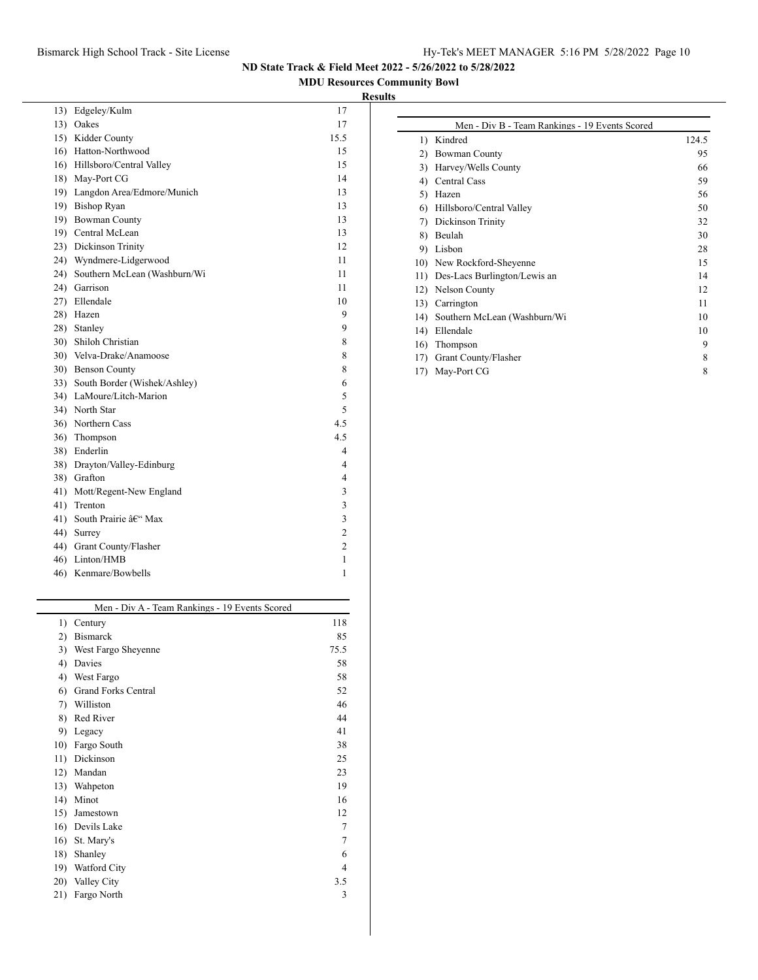## Bismarck High School Track - Site License Hy-Tek's MEET MANAGER 5:16 PM 5/28/2022 Page 10

**ND State Track & Field Meet 2022 - 5/26/2022 to 5/28/2022**

## **MDU Resources Community Bowl**

# **Results**

| 13)             | Edgeley/Kulm                     | 17             |
|-----------------|----------------------------------|----------------|
| 13)             | Oakes                            | 17             |
|                 | 15) Kidder County                | 15.5           |
|                 | 16) Hatton-Northwood             | 15             |
|                 | 16) Hillsboro/Central Valley     | 15             |
|                 | 18) May-Port CG                  | 14             |
|                 | 19) Langdon Area/Edmore/Munich   | 13             |
|                 | 19) Bishop Ryan                  | 13             |
| 19)             | <b>Bowman County</b>             | 13             |
|                 | 19) Central McLean               | 13             |
|                 | 23) Dickinson Trinity            | 12             |
|                 | 24) Wyndmere-Lidgerwood          | 11             |
|                 | 24) Southern McLean (Washburn/Wi | 11             |
|                 | 24) Garrison                     | 11             |
|                 | 27) Ellendale                    | 10             |
|                 | 28) Hazen                        | 9              |
|                 | 28) Stanley                      | 9              |
|                 | 30) Shiloh Christian             | 8              |
| 30 <sub>0</sub> | Velva-Drake/Anamoose             | 8              |
|                 | 30) Benson County                | 8              |
|                 | 33) South Border (Wishek/Ashley) | 6              |
|                 | 34) LaMoure/Litch-Marion         | 5              |
|                 | 34) North Star                   | 5              |
|                 | 36) Northern Cass                | 4.5            |
| 36)             | Thompson                         | 4.5            |
|                 | 38) Enderlin                     | 4              |
|                 | 38) Drayton/Valley-Edinburg      | 4              |
|                 | 38) Grafton                      | 4              |
| 41)             | Mott/Regent-New England          | 3              |
| 41)             | Trenton                          | 3              |
|                 | 41) South Prairie – Max          | 3              |
|                 | 44) Surrey                       | $\overline{c}$ |
|                 | 44) Grant County/Flasher         | $\overline{c}$ |
| 46)             | Linton/HMB                       | 1              |
| 46)             | Kenmare/Bowbells                 | 1              |
|                 |                                  |                |

|     | Men - Div A - Team Rankings - 19 Events Scored |      |
|-----|------------------------------------------------|------|
| 1)  | Century                                        | 118  |
| 2)  | <b>Bismarck</b>                                | 85   |
| 3)  | West Fargo Sheyenne                            | 75.5 |
| 4)  | Davies                                         | 58   |
| 4)  | West Fargo                                     | 58   |
| 6)  | <b>Grand Forks Central</b>                     | 52   |
| 7)  | Williston                                      | 46   |
| 8)  | Red River                                      | 44   |
| 9)  | Legacy                                         | 41   |
| 10) | Fargo South                                    | 38   |
| 11) | Dickinson                                      | 25   |
| 12) | Mandan                                         | 23   |
| 13) | Wahpeton                                       | 19   |
| 14) | Minot                                          | 16   |
| 15) | Jamestown                                      | 12   |
| 16) | Devils Lake                                    | 7    |
| 16) | St. Mary's                                     | 7    |
| 18) | Shanley                                        | 6    |
| 19) | <b>Watford City</b>                            | 4    |
| 20) | Valley City                                    | 3.5  |
| 21) | Fargo North                                    | 3    |
|     |                                                |      |

|                  | Men - Div B - Team Rankings - 19 Events Scored |       |
|------------------|------------------------------------------------|-------|
| $\left( \right)$ | Kindred                                        | 124.5 |
| 2)               | <b>Bowman County</b>                           | 95    |
| 3)               | Harvey/Wells County                            | 66    |
| 4)               | <b>Central Cass</b>                            | 59    |
| 5)               | Hazen                                          | 56    |
| 6                | Hillsboro/Central Valley                       | 50    |
| 7)               | Dickinson Trinity                              | 32    |
| 8)               | Beulah                                         | 30    |
| 9)               | Lisbon                                         | 28    |
| 10)              | New Rockford-Sheyenne                          | 15    |
| 11)              | Des-Lacs Burlington/Lewis an                   | 14    |
| 12)              | <b>Nelson County</b>                           | 12    |
| 13)              | Carrington                                     | 11    |
| 14)              | Southern McLean (Washburn/Wi                   | 10    |
| 14)              | Ellendale                                      | 10    |
| 16)              | Thompson                                       | 9     |
| 17)              | Grant County/Flasher                           | 8     |
| 17)              | May-Port CG                                    | 8     |
|                  |                                                |       |